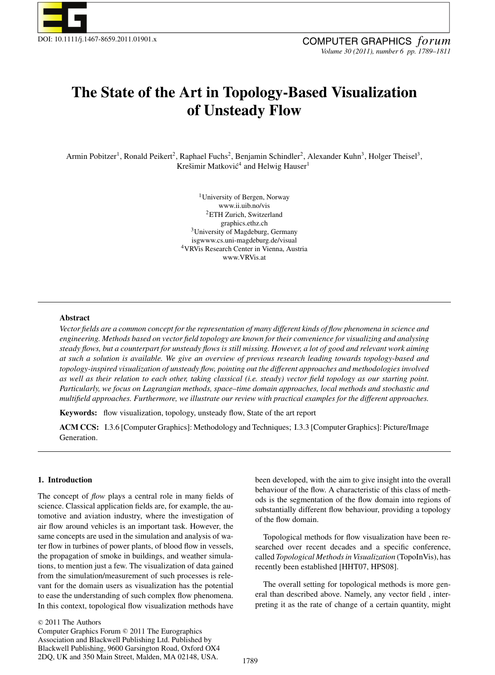

# **The State of the Art in Topology-Based Visualization of Unsteady Flow**

Armin Pobitzer<sup>1</sup>, Ronald Peikert<sup>2</sup>, Raphael Fuchs<sup>2</sup>, Benjamin Schindler<sup>2</sup>, Alexander Kuhn<sup>3</sup>, Holger Theisel<sup>3</sup>, Krešimir Matković<sup>4</sup> and Helwig Hauser<sup>1</sup>

> 1University of Bergen, Norway www.ii.uib.no/vis 2ETH Zurich, Switzerland graphics.ethz.ch <sup>3</sup>University of Magdeburg, Germany isgwww.cs.uni-magdeburg.de/visual 4VRVis Research Center in Vienna, Austria www.VRVis.at

## **Abstract**

*Vector fields are a common concept for the representation of many different kinds of flow phenomena in science and engineering. Methods based on vector field topology are known for their convenience for visualizing and analysing steady flows, but a counterpart for unsteady flows is still missing. However, a lot of good and relevant work aiming at such a solution is available. We give an overview of previous research leading towards topology-based and topology-inspired visualization of unsteady flow, pointing out the different approaches and methodologies involved as well as their relation to each other, taking classical (i.e. steady) vector field topology as our starting point. Particularly, we focus on Lagrangian methods, space–time domain approaches, local methods and stochastic and multifield approaches. Furthermore, we illustrate our review with practical examples for the different approaches.*

**Keywords:** flow visualization, topology, unsteady flow, State of the art report

**ACM CCS:** I.3.6 [Computer Graphics]: Methodology and Techniques; I.3.3 [Computer Graphics]: Picture/Image Generation.

## **1. Introduction**

The concept of *flow* plays a central role in many fields of science. Classical application fields are, for example, the automotive and aviation industry, where the investigation of air flow around vehicles is an important task. However, the same concepts are used in the simulation and analysis of water flow in turbines of power plants, of blood flow in vessels, the propagation of smoke in buildings, and weather simulations, to mention just a few. The visualization of data gained from the simulation/measurement of such processes is relevant for the domain users as visualization has the potential to ease the understanding of such complex flow phenomena. In this context, topological flow visualization methods have

© 2011 The Authors

Computer Graphics Forum © 2011 The Eurographics Association and Blackwell Publishing Ltd. Published by Blackwell Publishing, 9600 Garsington Road, Oxford OX4 2DQ, UK and 350 Main Street, Malden, MA 02148, USA. 1789

been developed, with the aim to give insight into the overall behaviour of the flow. A characteristic of this class of methods is the segmentation of the flow domain into regions of substantially different flow behaviour, providing a topology of the flow domain.

Topological methods for flow visualization have been researched over recent decades and a specific conference, called *Topological Methods in Visualization* (TopoInVis), has recently been established [HHT07, HPS08].

The overall setting for topological methods is more general than described above. Namely, any vector field , interpreting it as the rate of change of a certain quantity, might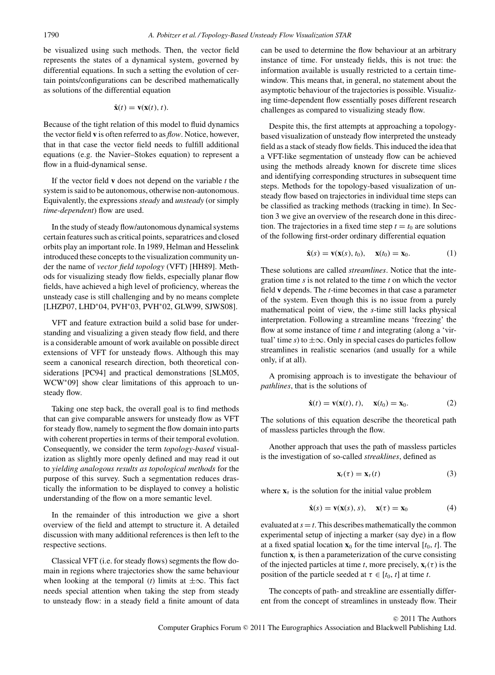be visualized using such methods. Then, the vector field represents the states of a dynamical system, governed by differential equations. In such a setting the evolution of certain points/configurations can be described mathematically as solutions of the differential equation

$$
\dot{\mathbf{x}}(t) = \mathbf{v}(\mathbf{x}(t), t).
$$

Because of the tight relation of this model to fluid dynamics the vector field **v** is often referred to as *flow*. Notice, however, that in that case the vector field needs to fulfill additional equations (e.g. the Navier–Stokes equation) to represent a flow in a fluid-dynamical sense.

If the vector field **v** does not depend on the variable *t* the system is said to be autonomous, otherwise non-autonomous. Equivalently, the expressions *steady* and *unsteady* (or simply *time-dependent*) flow are used.

In the study of steady flow/autonomous dynamical systems certain features such as critical points, separatrices and closed orbits play an important role. In 1989, Helman and Hesselink introduced these concepts to the visualization community under the name of *vector field topology* (VFT) [HH89]. Methods for visualizing steady flow fields, especially planar flow fields, have achieved a high level of proficiency, whereas the unsteady case is still challenging and by no means complete [LHZP07, LHD∗04, PVH∗03, PVH∗02, GLW99, SJWS08].

VFT and feature extraction build a solid base for understanding and visualizing a given steady flow field, and there is a considerable amount of work available on possible direct extensions of VFT for unsteady flows. Although this may seem a canonical research direction, both theoretical considerations [PC94] and practical demonstrations [SLM05, WCW∗09] show clear limitations of this approach to unsteady flow.

Taking one step back, the overall goal is to find methods that can give comparable answers for unsteady flow as VFT for steady flow, namely to segment the flow domain into parts with coherent properties in terms of their temporal evolution. Consequently, we consider the term *topology-based* visualization as slightly more openly defined and may read it out to *yielding analogous results as topological methods* for the purpose of this survey. Such a segmentation reduces drastically the information to be displayed to convey a holistic understanding of the flow on a more semantic level.

In the remainder of this introduction we give a short overview of the field and attempt to structure it. A detailed discussion with many additional references is then left to the respective sections.

Classical VFT (i.e. for steady flows) segments the flow domain in regions where trajectories show the same behaviour when looking at the temporal (*t*) limits at  $\pm \infty$ . This fact needs special attention when taking the step from steady to unsteady flow: in a steady field a finite amount of data can be used to determine the flow behaviour at an arbitrary instance of time. For unsteady fields, this is not true: the information available is usually restricted to a certain timewindow. This means that, in general, no statement about the asymptotic behaviour of the trajectories is possible. Visualizing time-dependent flow essentially poses different research challenges as compared to visualizing steady flow.

Despite this, the first attempts at approaching a topologybased visualization of unsteady flow interpreted the unsteady field as a stack of steady flow fields. This induced the idea that a VFT-like segmentation of unsteady flow can be achieved using the methods already known for discrete time slices and identifying corresponding structures in subsequent time steps. Methods for the topology-based visualization of unsteady flow based on trajectories in individual time steps can be classified as tracking methods (tracking in time). In Section 3 we give an overview of the research done in this direction. The trajectories in a fixed time step  $t = t_0$  are solutions of the following first-order ordinary differential equation

$$
\dot{\mathbf{x}}(s) = \mathbf{v}(\mathbf{x}(s), t_0), \quad \mathbf{x}(t_0) = \mathbf{x}_0.
$$
 (1)

These solutions are called *streamlines*. Notice that the integration time *s* is not related to the time *t* on which the vector field **v** depends. The *t*-time becomes in that case a parameter of the system. Even though this is no issue from a purely mathematical point of view, the *s*-time still lacks physical interpretation. Following a streamline means 'freezing' the flow at some instance of time *t* and integrating (along a 'virtual' time *s*) to  $\pm \infty$ . Only in special cases do particles follow streamlines in realistic scenarios (and usually for a while only, if at all).

A promising approach is to investigate the behaviour of *pathlines*, that is the solutions of

$$
\dot{\mathbf{x}}(t) = \mathbf{v}(\mathbf{x}(t), t), \quad \mathbf{x}(t_0) = \mathbf{x}_0.
$$
 (2)

The solutions of this equation describe the theoretical path of massless particles through the flow.

Another approach that uses the path of massless particles is the investigation of so-called *streaklines*, defined as

$$
\mathbf{x}_t(\tau) = \mathbf{x}_\tau(t) \tag{3}
$$

where  $\mathbf{x}_{\tau}$  is the solution for the initial value problem

$$
\dot{\mathbf{x}}(s) = \mathbf{v}(\mathbf{x}(s), s), \quad \mathbf{x}(\tau) = \mathbf{x}_0 \tag{4}
$$

evaluated at  $s = t$ . This describes mathematically the common experimental setup of injecting a marker (say dye) in a flow at a fixed spatial location  $\mathbf{x}_0$  for the time interval  $[t_0, t]$ . The function  $\mathbf{x}_t$  is then a parameterization of the curve consisting of the injected particles at time *t*, more precisely,  $\mathbf{x}_t(\tau)$  is the position of the particle seeded at  $\tau \in [t_0, t]$  at time *t*.

The concepts of path- and streakline are essentially different from the concept of streamlines in unsteady flow. Their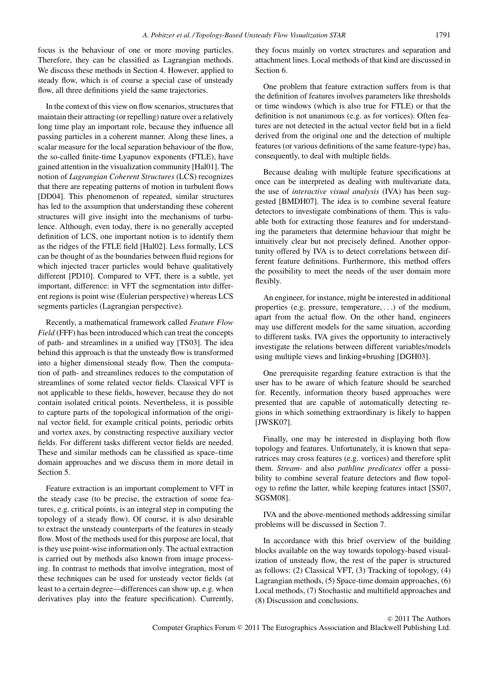focus is the behaviour of one or more moving particles. Therefore, they can be classified as Lagrangian methods. We discuss these methods in Section 4. However, applied to steady flow, which is of course a special case of unsteady flow, all three definitions yield the same trajectories.

In the context of this view on flow scenarios, structures that maintain their attracting (or repelling) nature over a relatively long time play an important role, because they influence all passing particles in a coherent manner. Along these lines, a scalar measure for the local separation behaviour of the flow, the so-called finite-time Lyapunov exponents (FTLE), have gained attention in the visualization community [Hal01]. The notion of *Lagrangian Coherent Structures* (LCS) recognizes that there are repeating patterns of motion in turbulent flows [DD04]. This phenomenon of repeated, similar structures has led to the assumption that understanding these coherent structures will give insight into the mechanisms of turbulence. Although, even today, there is no generally accepted definition of LCS, one important notion is to identify them as the ridges of the FTLE field [Hal02]. Less formally, LCS can be thought of as the boundaries between fluid regions for which injected tracer particles would behave qualitatively different [PD10]. Compared to VFT, there is a subtle, yet important, difference: in VFT the segmentation into different regions is point wise (Eulerian perspective) whereas LCS segments particles (Lagrangian perspective).

Recently, a mathematical framework called *Feature Flow Field* (FFF) has been introduced which can treat the concepts of path- and streamlines in a unified way [TS03]. The idea behind this approach is that the unsteady flow is transformed into a higher dimensional steady flow. Then the computation of path- and streamlines reduces to the computation of streamlines of some related vector fields. Classical VFT is not applicable to these fields, however, because they do not contain isolated critical points. Nevertheless, it is possible to capture parts of the topological information of the original vector field, for example critical points, periodic orbits and vortex axes, by constructing respective auxiliary vector fields. For different tasks different vector fields are needed. These and similar methods can be classified as space–time domain approaches and we discuss them in more detail in Section 5.

Feature extraction is an important complement to VFT in the steady case (to be precise, the extraction of some features, e.g. critical points, is an integral step in computing the topology of a steady flow). Of course, it is also desirable to extract the unsteady counterparts of the features in steady flow. Most of the methods used for this purpose are local, that is they use point-wise information only. The actual extraction is carried out by methods also known from image processing. In contrast to methods that involve integration, most of these techniques can be used for unsteady vector fields (at least to a certain degree—differences can show up, e.g. when derivatives play into the feature specification). Currently, they focus mainly on vortex structures and separation and attachment lines. Local methods of that kind are discussed in Section 6.

One problem that feature extraction suffers from is that the definition of features involves parameters like thresholds or time windows (which is also true for FTLE) or that the definition is not unanimous (e.g. as for vortices). Often features are not detected in the actual vector field but in a field derived from the original one and the detection of multiple features (or various definitions of the same feature-type) has, consequently, to deal with multiple fields.

Because dealing with multiple feature specifications at once can be interpreted as dealing with multivariate data, the use of *interactive visual analysis* (IVA) has been suggested [BMDH07]. The idea is to combine several feature detectors to investigate combinations of them. This is valuable both for extracting those features and for understanding the parameters that determine behaviour that might be intuitively clear but not precisely defined. Another opportunity offered by IVA is to detect correlations between different feature definitions. Furthermore, this method offers the possibility to meet the needs of the user domain more flexibly.

An engineer, for instance, might be interested in additional properties (e.g. pressure, temperature, ...) of the medium, apart from the actual flow. On the other hand, engineers may use different models for the same situation, according to different tasks. IVA gives the opportunity to interactively investigate the relations between different variables/models using multiple views and linking+brushing [DGH03].

One prerequisite regarding feature extraction is that the user has to be aware of which feature should be searched for. Recently, information theory based approaches were presented that are capable of automatically detecting regions in which something extraordinary is likely to happen [JWSK07].

Finally, one may be interested in displaying both flow topology and features. Unfortunately, it is known that separatrices may cross features (e.g. vortices) and therefore split them. *Stream-* and also *pathline predicates* offer a possibility to combine several feature detectors and flow topology to refine the latter, while keeping features intact [SS07, SGSM08].

IVA and the above-mentioned methods addressing similar problems will be discussed in Section 7.

In accordance with this brief overview of the building blocks available on the way towards topology-based visualization of unsteady flow, the rest of the paper is structured as follows: (2) Classical VFT, (3) Tracking of topology, (4) Lagrangian methods, (5) Space-time domain approaches, (6) Local methods, (7) Stochastic and multifield approaches and (8) Discussion and conclusions.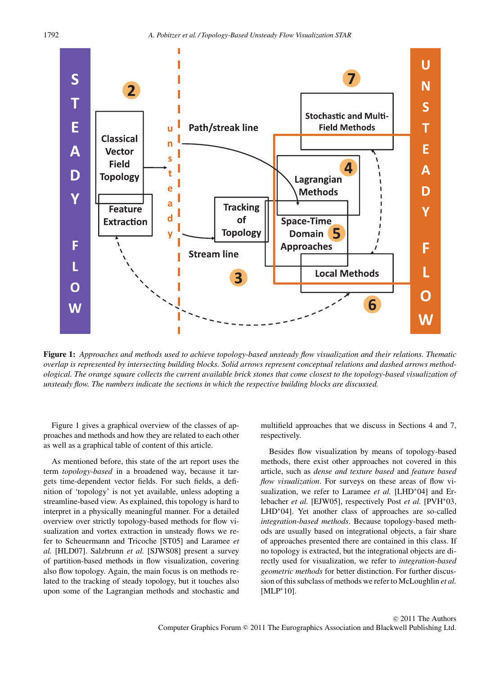

**Figure 1:** *Approaches and methods used to achieve topology-based unsteady flow visualization and their relations. Thematic overlap is represented by intersecting building blocks. Solid arrows represent conceptual relations and dashed arrows methodological. The orange square collects the current available brick stones that come closest to the topology-based visualization of unsteady flow. The numbers indicate the sections in which the respective building blocks are discussed.*

Figure 1 gives a graphical overview of the classes of approaches and methods and how they are related to each other as well as a graphical table of content of this article.

As mentioned before, this state of the art report uses the term *topology-based* in a broadened way, because it targets time-dependent vector fields. For such fields, a definition of 'topology' is not yet available, unless adopting a streamline-based view. As explained, this topology is hard to interpret in a physically meaningful manner. For a detailed overview over strictly topology-based methods for flow visualization and vortex extraction in unsteady flows we refer to Scheuermann and Tricoche [ST05] and Laramee *et al.* [HLD07]. Salzbrunn *et al.* [SJWS08] present a survey of partition-based methods in flow visualization, covering also flow topology. Again, the main focus is on methods related to the tracking of steady topology, but it touches also upon some of the Lagrangian methods and stochastic and multifield approaches that we discuss in Sections 4 and 7, respectively.

Besides flow visualization by means of topology-based methods, there exist other approaches not covered in this article, such as *dense and texture based* and *feature based flow visualization*. For surveys on these areas of flow visualization, we refer to Laramee *et al.* [LHD<sup>∗</sup>04] and Erlebacher *et al.* [EJW05], respectively Post *et al.* [PVH∗03, LHD∗04]. Yet another class of approaches are so-called *integration-based methods*. Because topology-based methods are usually based on integrational objects, a fair share of approaches presented there are contained in this class. If no topology is extracted, but the integrational objects are directly used for visualization, we refer to *integration-based geometric methods* for better distinction. For further discussion of this subclass of methods we refer to McLoughlin *et al.* [MLP<sup>∗</sup>10].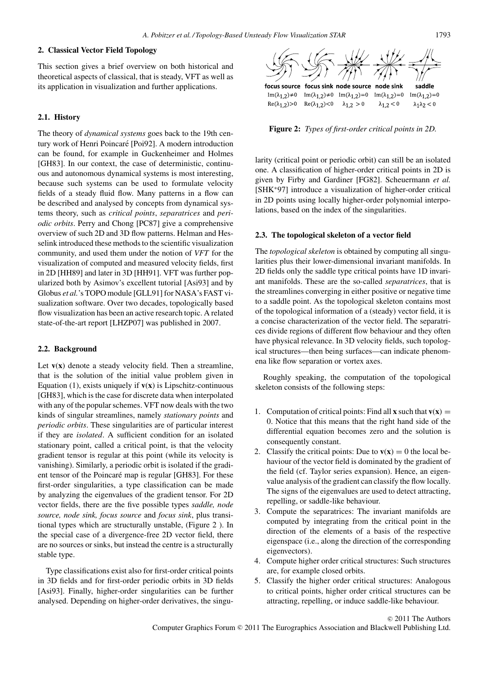## **2. Classical Vector Field Topology**

This section gives a brief overview on both historical and theoretical aspects of classical, that is steady, VFT as well as its application in visualization and further applications.

## **2.1. History**

The theory of *dynamical systems* goes back to the 19th century work of Henri Poincaré [Poi92]. A modern introduction can be found, for example in Guckenheimer and Holmes [GH83]. In our context, the case of deterministic, continuous and autonomous dynamical systems is most interesting, because such systems can be used to formulate velocity fields of a steady fluid flow. Many patterns in a flow can be described and analysed by concepts from dynamical systems theory, such as *critical points*, *separatrices* and *periodic orbits*. Perry and Chong [PC87] give a comprehensive overview of such 2D and 3D flow patterns. Helman and Hesselink introduced these methods to the scientific visualization community, and used them under the notion of *VFT* for the visualization of computed and measured velocity fields, first in 2D [HH89] and later in 3D [HH91]. VFT was further popularized both by Asimov's excellent tutorial [Asi93] and by Globus *et al.*'s TOPO module [GLL91] for NASA's FAST visualization software. Over two decades, topologically based flow visualization has been an active research topic. A related state-of-the-art report [LHZP07] was published in 2007.

## **2.2. Background**

Let  $v(x)$  denote a steady velocity field. Then a streamline, that is the solution of the initial value problem given in Equation (1), exists uniquely if  $\mathbf{v}(\mathbf{x})$  is Lipschitz-continuous [GH83], which is the case for discrete data when interpolated with any of the popular schemes. VFT now deals with the two kinds of singular streamlines, namely *stationary points* and *periodic orbits*. These singularities are of particular interest if they are *isolated*. A sufficient condition for an isolated stationary point, called a critical point, is that the velocity gradient tensor is regular at this point (while its velocity is vanishing). Similarly, a periodic orbit is isolated if the gradient tensor of the Poincaré map is regular [GH83]. For these first-order singularities, a type classification can be made by analyzing the eigenvalues of the gradient tensor. For 2D vector fields, there are the five possible types *saddle, node source, node sink, focus source* and *focus sink*, plus transitional types which are structurally unstable, (Figure 2 ). In the special case of a divergence-free 2D vector field, there are no sources or sinks, but instead the centre is a structurally stable type.

Type classifications exist also for first-order critical points in 3D fields and for first-order periodic orbits in 3D fields [Asi93]. Finally, higher-order singularities can be further analysed. Depending on higher-order derivatives, the singu-



**Figure 2:** *Types of first-order critical points in 2D.*

larity (critical point or periodic orbit) can still be an isolated one. A classification of higher-order critical points in 2D is given by Firby and Gardiner [FG82]. Scheuermann *et al.* [SHK∗97] introduce a visualization of higher-order critical in 2D points using locally higher-order polynomial interpolations, based on the index of the singularities.

#### **2.3. The topological skeleton of a vector field**

The *topological skeleton* is obtained by computing all singularities plus their lower-dimensional invariant manifolds. In 2D fields only the saddle type critical points have 1D invariant manifolds. These are the so-called *separatrices*, that is the streamlines converging in either positive or negative time to a saddle point. As the topological skeleton contains most of the topological information of a (steady) vector field, it is a concise characterization of the vector field. The separatrices divide regions of different flow behaviour and they often have physical relevance. In 3D velocity fields, such topological structures—then being surfaces—can indicate phenomena like flow separation or vortex axes.

Roughly speaking, the computation of the topological skeleton consists of the following steps:

- 1. Computation of critical points: Find all **x** such that  $\mathbf{v}(\mathbf{x}) =$ 0. Notice that this means that the right hand side of the differential equation becomes zero and the solution is consequently constant.
- 2. Classify the critical points: Due to  $\mathbf{v}(\mathbf{x}) = 0$  the local behaviour of the vector field is dominated by the gradient of the field (cf. Taylor series expansion). Hence, an eigenvalue analysis of the gradient can classify the flow locally. The signs of the eigenvalues are used to detect attracting, repelling, or saddle-like behaviour.
- 3. Compute the separatrices: The invariant manifolds are computed by integrating from the critical point in the direction of the elements of a basis of the respective eigenspace (i.e., along the direction of the corresponding eigenvectors).
- 4. Compute higher order critical structures: Such structures are, for example closed orbits.
- 5. Classify the higher order critical structures: Analogous to critical points, higher order critical structures can be attracting, repelling, or induce saddle-like behaviour.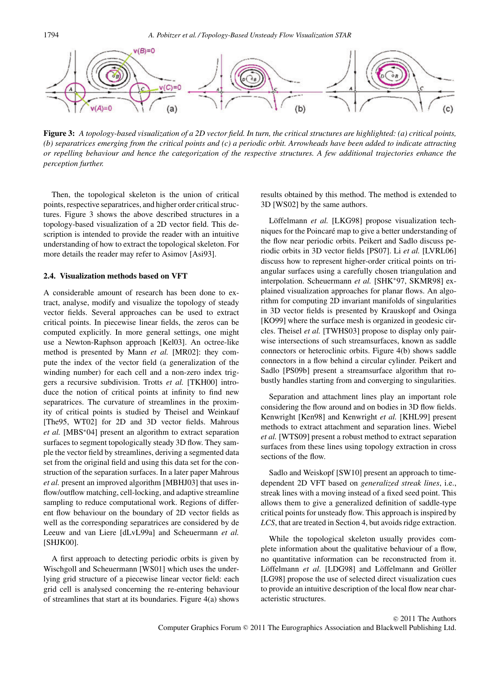

**Figure 3:** *A topology-based visualization of a 2D vector field. In turn, the critical structures are highlighted: (a) critical points, (b) separatrices emerging from the critical points and (c) a periodic orbit. Arrowheads have been added to indicate attracting or repelling behaviour and hence the categorization of the respective structures. A few additional trajectories enhance the perception further.*

Then, the topological skeleton is the union of critical points, respective separatrices, and higher order critical structures. Figure 3 shows the above described structures in a topology-based visualization of a 2D vector field. This description is intended to provide the reader with an intuitive understanding of how to extract the topological skeleton. For more details the reader may refer to Asimov [Asi93].

## **2.4. Visualization methods based on VFT**

A considerable amount of research has been done to extract, analyse, modify and visualize the topology of steady vector fields. Several approaches can be used to extract critical points. In piecewise linear fields, the zeros can be computed explicitly. In more general settings, one might use a Newton-Raphson approach [Kel03]. An octree-like method is presented by Mann *et al.* [MR02]: they compute the index of the vector field (a generalization of the winding number) for each cell and a non-zero index triggers a recursive subdivision. Trotts *et al.* [TKH00] introduce the notion of critical points at infinity to find new separatrices. The curvature of streamlines in the proximity of critical points is studied by Theisel and Weinkauf [The95, WT02] for 2D and 3D vector fields. Mahrous *et al.* [MBS<sup>\*</sup>04] present an algorithm to extract separation surfaces to segment topologically steady 3D flow. They sample the vector field by streamlines, deriving a segmented data set from the original field and using this data set for the construction of the separation surfaces. In a later paper Mahrous *et al.* present an improved algorithm [MBHJ03] that uses inflow/outflow matching, cell-locking, and adaptive streamline sampling to reduce computational work. Regions of different flow behaviour on the boundary of 2D vector fields as well as the corresponding separatrices are considered by de Leeuw and van Liere [dLvL99a] and Scheuermann *et al.* [SHJK00].

A first approach to detecting periodic orbits is given by Wischgoll and Scheuermann [WS01] which uses the underlying grid structure of a piecewise linear vector field: each grid cell is analysed concerning the re-entering behaviour of streamlines that start at its boundaries. Figure 4(a) shows

results obtained by this method. The method is extended to 3D [WS02] by the same authors.

Löffelmann et al. [LKG98] propose visualization techniques for the Poincaré map to give a better understanding of the flow near periodic orbits. Peikert and Sadlo discuss periodic orbits in 3D vector fields [PS07]. Li *et al.* [LVRL06] discuss how to represent higher-order critical points on triangular surfaces using a carefully chosen triangulation and interpolation. Scheuermann *et al.* [SHK∗97, SKMR98] explained visualization approaches for planar flows. An algorithm for computing 2D invariant manifolds of singularities in 3D vector fields is presented by Krauskopf and Osinga [KO99] where the surface mesh is organized in geodesic circles. Theisel *et al.* [TWHS03] propose to display only pairwise intersections of such streamsurfaces, known as saddle connectors or heteroclinic orbits. Figure 4(b) shows saddle connectors in a flow behind a circular cylinder. Peikert and Sadlo [PS09b] present a streamsurface algorithm that robustly handles starting from and converging to singularities.

Separation and attachment lines play an important role considering the flow around and on bodies in 3D flow fields. Kenwright [Ken98] and Kenwright *et al.* [KHL99] present methods to extract attachment and separation lines. Wiebel *et al.* [WTS09] present a robust method to extract separation surfaces from these lines using topology extraction in cross sections of the flow.

Sadlo and Weiskopf [SW10] present an approach to timedependent 2D VFT based on *generalized streak lines*, i.e., streak lines with a moving instead of a fixed seed point. This allows them to give a generalized definition of saddle-type critical points for unsteady flow. This approach is inspired by *LCS*, that are treated in Section 4, but avoids ridge extraction.

While the topological skeleton usually provides complete information about the qualitative behaviour of a flow, no quantitative information can be reconstructed from it. Löffelmann et al. [LDG98] and Löffelmann and Gröller [LG98] propose the use of selected direct visualization cues to provide an intuitive description of the local flow near characteristic structures.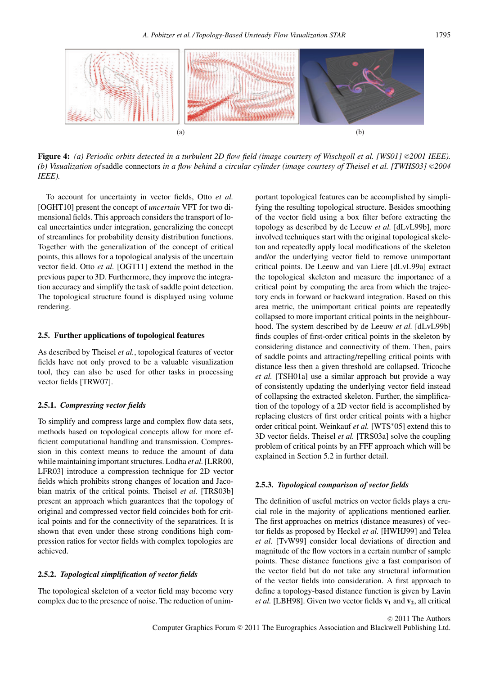

**Figure 4:** (a) Periodic orbits detected in a turbulent 2D flow field (image courtesy of Wischgoll et al. [WS01] ©2001 IEEE). *(b) Visualization of* saddle connectors *in a flow behind a circular cylinder (image courtesy of Theisel et al. [TWHS03]*  $\circ$ 2004 *IEEE).*

To account for uncertainty in vector fields, Otto *et al.* [OGHT10] present the concept of *uncertain* VFT for two dimensional fields. This approach considers the transport of local uncertainties under integration, generalizing the concept of streamlines for probability density distribution functions. Together with the generalization of the concept of critical points, this allows for a topological analysis of the uncertain vector field. Otto *et al.* [OGT11] extend the method in the previous paper to 3D. Furthermore, they improve the integration accuracy and simplify the task of saddle point detection. The topological structure found is displayed using volume rendering.

#### **2.5. Further applications of topological features**

As described by Theisel *et al.*, topological features of vector fields have not only proved to be a valuable visualization tool, they can also be used for other tasks in processing vector fields [TRW07].

## **2.5.1.** *Compressing vector fields*

To simplify and compress large and complex flow data sets, methods based on topological concepts allow for more efficient computational handling and transmission. Compression in this context means to reduce the amount of data while maintaining important structures. Lodha *et al.*[LRR00, LFR03] introduce a compression technique for 2D vector fields which prohibits strong changes of location and Jacobian matrix of the critical points. Theisel *et al.* [TRS03b] present an approach which guarantees that the topology of original and compressed vector field coincides both for critical points and for the connectivity of the separatrices. It is shown that even under these strong conditions high compression ratios for vector fields with complex topologies are achieved.

## **2.5.2.** *Topological simplification of vector fields*

The topological skeleton of a vector field may become very complex due to the presence of noise. The reduction of unimportant topological features can be accomplished by simplifying the resulting topological structure. Besides smoothing of the vector field using a box filter before extracting the topology as described by de Leeuw *et al.* [dLvL99b], more involved techniques start with the original topological skeleton and repeatedly apply local modifications of the skeleton and/or the underlying vector field to remove unimportant critical points. De Leeuw and van Liere [dLvL99a] extract the topological skeleton and measure the importance of a critical point by computing the area from which the trajectory ends in forward or backward integration. Based on this area metric, the unimportant critical points are repeatedly collapsed to more important critical points in the neighbourhood. The system described by de Leeuw *et al.* [dLvL99b] finds couples of first-order critical points in the skeleton by considering distance and connectivity of them. Then, pairs of saddle points and attracting/repelling critical points with distance less then a given threshold are collapsed. Tricoche *et al.* [TSH01a] use a similar approach but provide a way of consistently updating the underlying vector field instead of collapsing the extracted skeleton. Further, the simplification of the topology of a 2D vector field is accomplished by replacing clusters of first order critical points with a higher order critical point. Weinkauf *et al.* [WTS∗05] extend this to 3D vector fields. Theisel *et al.* [TRS03a] solve the coupling problem of critical points by an FFF approach which will be explained in Section 5.2 in further detail.

#### **2.5.3.** *Topological comparison of vector fields*

The definition of useful metrics on vector fields plays a crucial role in the majority of applications mentioned earlier. The first approaches on metrics (distance measures) of vector fields as proposed by Heckel *et al.* [HWHJ99] and Telea *et al.* [TvW99] consider local deviations of direction and magnitude of the flow vectors in a certain number of sample points. These distance functions give a fast comparison of the vector field but do not take any structural information of the vector fields into consideration. A first approach to define a topology-based distance function is given by Lavin *et al.* [LBH98]. Given two vector fields  $v_1$  and  $v_2$ , all critical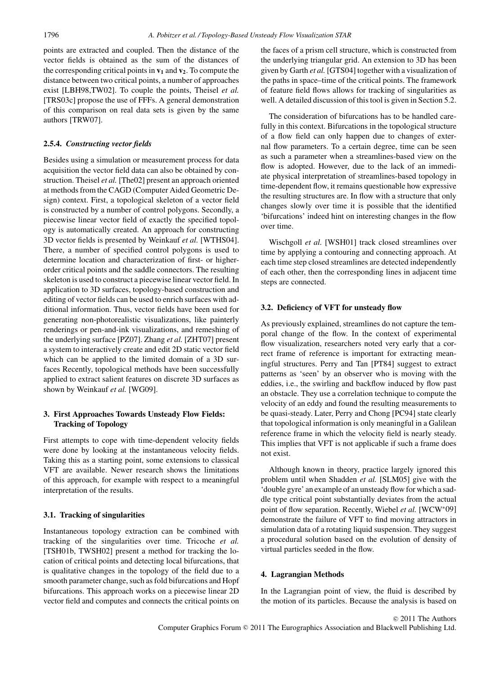points are extracted and coupled. Then the distance of the vector fields is obtained as the sum of the distances of the corresponding critical points in  $v_1$  and  $v_2$ . To compute the distance between two critical points, a number of approaches exist [LBH98,TW02]. To couple the points, Theisel *et al.* [TRS03c] propose the use of FFFs. A general demonstration of this comparison on real data sets is given by the same authors [TRW07].

# **2.5.4.** *Constructing vector fields*

Besides using a simulation or measurement process for data acquisition the vector field data can also be obtained by construction. Theisel *et al.* [The02] present an approach oriented at methods from the CAGD (Computer Aided Geometric Design) context. First, a topological skeleton of a vector field is constructed by a number of control polygons. Secondly, a piecewise linear vector field of exactly the specified topology is automatically created. An approach for constructing 3D vector fields is presented by Weinkauf *et al.* [WTHS04]. There, a number of specified control polygons is used to determine location and characterization of first- or higherorder critical points and the saddle connectors. The resulting skeleton is used to construct a piecewise linear vector field. In application to 3D surfaces, topology-based construction and editing of vector fields can be used to enrich surfaces with additional information. Thus, vector fields have been used for generating non-photorealistic visualizations, like painterly renderings or pen-and-ink visualizations, and remeshing of the underlying surface [PZ07]. Zhang *et al.* [ZHT07] present a system to interactively create and edit 2D static vector field which can be applied to the limited domain of a 3D surfaces Recently, topological methods have been successfully applied to extract salient features on discrete 3D surfaces as shown by Weinkauf *et al.* [WG09].

# **3. First Approaches Towards Unsteady Flow Fields: Tracking of Topology**

First attempts to cope with time-dependent velocity fields were done by looking at the instantaneous velocity fields. Taking this as a starting point, some extensions to classical VFT are available. Newer research shows the limitations of this approach, for example with respect to a meaningful interpretation of the results.

# **3.1. Tracking of singularities**

Instantaneous topology extraction can be combined with tracking of the singularities over time. Tricoche *et al.* [TSH01b, TWSH02] present a method for tracking the location of critical points and detecting local bifurcations, that is qualitative changes in the topology of the field due to a smooth parameter change, such as fold bifurcations and Hopf bifurcations. This approach works on a piecewise linear 2D vector field and computes and connects the critical points on the faces of a prism cell structure, which is constructed from the underlying triangular grid. An extension to 3D has been given by Garth *et al.* [GTS04] together with a visualization of the paths in space–time of the critical points. The framework of feature field flows allows for tracking of singularities as well. A detailed discussion of this tool is given in Section 5.2.

The consideration of bifurcations has to be handled carefully in this context. Bifurcations in the topological structure of a flow field can only happen due to changes of external flow parameters. To a certain degree, time can be seen as such a parameter when a streamlines-based view on the flow is adopted. However, due to the lack of an immediate physical interpretation of streamlines-based topology in time-dependent flow, it remains questionable how expressive the resulting structures are. In flow with a structure that only changes slowly over time it is possible that the identified 'bifurcations' indeed hint on interesting changes in the flow over time.

Wischgoll *et al.* [WSH01] track closed streamlines over time by applying a contouring and connecting approach. At each time step closed streamlines are detected independently of each other, then the corresponding lines in adjacent time steps are connected.

## **3.2. Deficiency of VFT for unsteady flow**

As previously explained, streamlines do not capture the temporal change of the flow. In the context of experimental flow visualization, researchers noted very early that a correct frame of reference is important for extracting meaningful structures. Perry and Tan [PT84] suggest to extract patterns as 'seen' by an observer who is moving with the eddies, i.e., the swirling and backflow induced by flow past an obstacle. They use a correlation technique to compute the velocity of an eddy and found the resulting measurements to be quasi-steady. Later, Perry and Chong [PC94] state clearly that topological information is only meaningful in a Galilean reference frame in which the velocity field is nearly steady. This implies that VFT is not applicable if such a frame does not exist.

Although known in theory, practice largely ignored this problem until when Shadden *et al.* [SLM05] give with the 'double gyre' an example of an unsteady flow for which a saddle type critical point substantially deviates from the actual point of flow separation. Recently, Wiebel *et al.* [WCW∗09] demonstrate the failure of VFT to find moving attractors in simulation data of a rotating liquid suspension. They suggest a procedural solution based on the evolution of density of virtual particles seeded in the flow.

## **4. Lagrangian Methods**

In the Lagrangian point of view, the fluid is described by the motion of its particles. Because the analysis is based on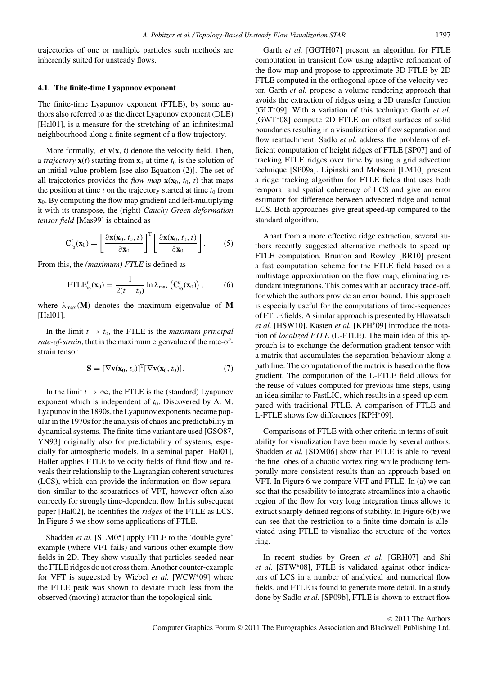trajectories of one or multiple particles such methods are inherently suited for unsteady flows.

#### **4.1. The finite-time Lyapunov exponent**

The finite-time Lyapunov exponent (FTLE), by some authors also referred to as the direct Lyapunov exponent (DLE) [Hal01], is a measure for the stretching of an infinitesimal neighbourhood along a finite segment of a flow trajectory.

More formally, let  $\mathbf{v}(\mathbf{x}, t)$  denote the velocity field. Then, a *trajectory*  $\mathbf{x}(t)$  starting from  $\mathbf{x}_0$  at time  $t_0$  is the solution of an initial value problem [see also Equation (2)]. The set of all trajectories provides the *flow map*  $\mathbf{x}(\mathbf{x}_0, t_0, t)$  that maps the position at time  $t$  on the trajectory started at time  $t_0$  from **x**0. By computing the flow map gradient and left-multiplying it with its transpose, the (right) *Cauchy-Green deformation tensor field* [Mas99] is obtained as

$$
\mathbf{C}_{t_0}^t(\mathbf{x}_0) = \left[\frac{\partial \mathbf{x}(\mathbf{x}_0, t_0, t)}{\partial \mathbf{x}_0}\right]^\mathrm{T} \left[\frac{\partial \mathbf{x}(\mathbf{x}_0, t_0, t)}{\partial \mathbf{x}_0}\right].\tag{5}
$$

From this, the *(maximum) FTLE* is defined as

$$
\text{FTLE}_{t_0}^t(\mathbf{x}_0) = \frac{1}{2(t - t_0)} \ln \lambda_{\max} \left( \mathbf{C}_{t_0}^t(\mathbf{x}_0) \right), \tag{6}
$$

where  $\lambda_{\text{max}}(\mathbf{M})$  denotes the maximum eigenvalue of **M** [Hal01].

In the limit  $t \to t_0$ , the FTLE is the *maximum principal rate-of-strain*, that is the maximum eigenvalue of the rate-ofstrain tensor

$$
\mathbf{S} = [\nabla \mathbf{v}(\mathbf{x}_0, t_0)]^{\mathrm{T}} [\nabla \mathbf{v}(\mathbf{x}_0, t_0)]. \tag{7}
$$

In the limit  $t \to \infty$ , the FTLE is the (standard) Lyapunov exponent which is independent of  $t_0$ . Discovered by A. M. Lyapunov in the 1890s, the Lyapunov exponents became popular in the 1970s for the analysis of chaos and predictability in dynamical systems. The finite-time variant are used [GSO87, YN93] originally also for predictability of systems, especially for atmospheric models. In a seminal paper [Hal01], Haller applies FTLE to velocity fields of fluid flow and reveals their relationship to the Lagrangian coherent structures (LCS), which can provide the information on flow separation similar to the separatrices of VFT, however often also correctly for strongly time-dependent flow. In his subsequent paper [Hal02], he identifies the *ridges* of the FTLE as LCS. In Figure 5 we show some applications of FTLE.

Shadden *et al.* [SLM05] apply FTLE to the 'double gyre' example (where VFT fails) and various other example flow fields in 2D. They show visually that particles seeded near the FTLE ridges do not cross them. Another counter-example for VFT is suggested by Wiebel *et al.* [WCW∗09] where the FTLE peak was shown to deviate much less from the observed (moving) attractor than the topological sink.

Garth *et al.* [GGTH07] present an algorithm for FTLE computation in transient flow using adaptive refinement of the flow map and propose to approximate 3D FTLE by 2D FTLE computed in the orthogonal space of the velocity vector. Garth *et al.* propose a volume rendering approach that avoids the extraction of ridges using a 2D transfer function [GLT∗09]. With a variation of this technique Garth *et al.* [GWT∗08] compute 2D FTLE on offset surfaces of solid boundaries resulting in a visualization of flow separation and flow reattachment. Sadlo *et al.* address the problems of efficient computation of height ridges of FTLE [SP07] and of tracking FTLE ridges over time by using a grid advection technique [SP09a]. Lipinski and Mohseni [LM10] present a ridge tracking algorithm for FTLE fields that uses both temporal and spatial coherency of LCS and give an error estimator for difference between advected ridge and actual LCS. Both approaches give great speed-up compared to the standard algorithm.

Apart from a more effective ridge extraction, several authors recently suggested alternative methods to speed up FTLE computation. Brunton and Rowley [BR10] present a fast computation scheme for the FTLE field based on a multistage approximation on the flow map, eliminating redundant integrations. This comes with an accuracy trade-off, for which the authors provide an error bound. This approach is especially useful for the computations of time-sequences of FTLE fields. A similar approach is presented by Hlawatsch *et al.* [HSW10]. Kasten *et al.* [KPH<sup>∗</sup>09] introduce the notation of *localized FTLE* (L-FTLE). The main idea of this approach is to exchange the deformation gradient tensor with a matrix that accumulates the separation behaviour along a path line. The computation of the matrix is based on the flow gradient. The computation of the L-FTLE field allows for the reuse of values computed for previous time steps, using an idea similar to FastLIC, which results in a speed-up compared with traditional FTLE. A comparison of FTLE and L-FTLE shows few differences [KPH∗09].

Comparisons of FTLE with other criteria in terms of suitability for visualization have been made by several authors. Shadden *et al.* [SDM06] show that FTLE is able to reveal the fine lobes of a chaotic vortex ring while producing temporally more consistent results than an approach based on VFT. In Figure 6 we compare VFT and FTLE. In (a) we can see that the possibility to integrate streamlines into a chaotic region of the flow for very long integration times allows to extract sharply defined regions of stability. In Figure 6(b) we can see that the restriction to a finite time domain is alleviated using FTLE to visualize the structure of the vortex ring.

In recent studies by Green *et al.* [GRH07] and Shi *et al.* [STW∗08], FTLE is validated against other indicators of LCS in a number of analytical and numerical flow fields, and FTLE is found to generate more detail. In a study done by Sadlo *et al.* [SP09b], FTLE is shown to extract flow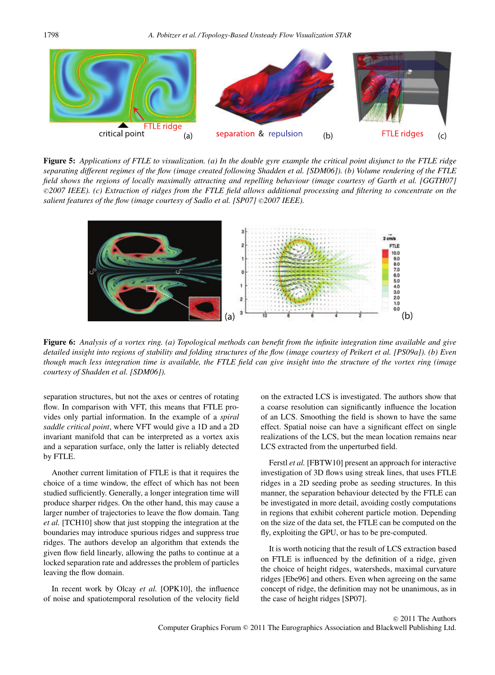

**Figure 5:** *Applications of FTLE to visualization. (a) In the double gyre example the critical point disjunct to the FTLE ridge separating different regimes of the flow (image created following Shadden et al. [SDM06]). (b) Volume rendering of the FTLE field shows the regions of locally maximally attracting and repelling behaviour (image courtesy of Garth et al. [GGTH07]* ©2007 IEEE). (c) Extraction of ridges from the FTLE field allows additional processing and filtering to concentrate on the salient features of the flow (image courtesy of Sadlo et al. [SP07] ©2007 IEEE).



**Figure 6:** *Analysis of a vortex ring. (a) Topological methods can benefit from the infinite integration time available and give detailed insight into regions of stability and folding structures of the flow (image courtesy of Peikert et al. [PS09a]). (b) Even though much less integration time is available, the FTLE field can give insight into the structure of the vortex ring (image courtesy of Shadden et al. [SDM06]).*

separation structures, but not the axes or centres of rotating flow. In comparison with VFT, this means that FTLE provides only partial information. In the example of a *spiral saddle critical point*, where VFT would give a 1D and a 2D invariant manifold that can be interpreted as a vortex axis and a separation surface, only the latter is reliably detected by FTLE.

Another current limitation of FTLE is that it requires the choice of a time window, the effect of which has not been studied sufficiently. Generally, a longer integration time will produce sharper ridges. On the other hand, this may cause a larger number of trajectories to leave the flow domain. Tang *et al.* [TCH10] show that just stopping the integration at the boundaries may introduce spurious ridges and suppress true ridges. The authors develop an algorithm that extends the given flow field linearly, allowing the paths to continue at a locked separation rate and addresses the problem of particles leaving the flow domain.

In recent work by Olcay *et al.* [OPK10], the influence of noise and spatiotemporal resolution of the velocity field on the extracted LCS is investigated. The authors show that a coarse resolution can significantly influence the location of an LCS. Smoothing the field is shown to have the same effect. Spatial noise can have a significant effect on single realizations of the LCS, but the mean location remains near LCS extracted from the unperturbed field.

Ferstl *et al.* [FBTW10] present an approach for interactive investigation of 3D flows using streak lines, that uses FTLE ridges in a 2D seeding probe as seeding structures. In this manner, the separation behaviour detected by the FTLE can be investigated in more detail, avoiding costly computations in regions that exhibit coherent particle motion. Depending on the size of the data set, the FTLE can be computed on the fly, exploiting the GPU, or has to be pre-computed.

It is worth noticing that the result of LCS extraction based on FTLE is influenced by the definition of a ridge, given the choice of height ridges, watersheds, maximal curvature ridges [Ebe96] and others. Even when agreeing on the same concept of ridge, the definition may not be unanimous, as in the case of height ridges [SP07].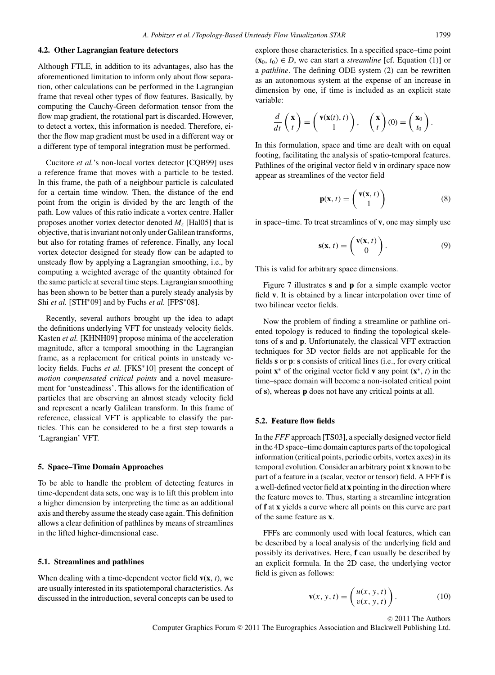## **4.2. Other Lagrangian feature detectors**

Although FTLE, in addition to its advantages, also has the aforementioned limitation to inform only about flow separation, other calculations can be performed in the Lagrangian frame that reveal other types of flow features. Basically, by computing the Cauchy-Green deformation tensor from the flow map gradient, the rotational part is discarded. However, to detect a vortex, this information is needed. Therefore, either the flow map gradient must be used in a different way or a different type of temporal integration must be performed.

Cucitore *et al.*'s non-local vortex detector [CQB99] uses a reference frame that moves with a particle to be tested. In this frame, the path of a neighbour particle is calculated for a certain time window. Then, the distance of the end point from the origin is divided by the arc length of the path. Low values of this ratio indicate a vortex centre. Haller proposes another vortex detector denoted *Mz* [Hal05] that is objective, that is invariant not only under Galilean transforms, but also for rotating frames of reference. Finally, any local vortex detector designed for steady flow can be adapted to unsteady flow by applying a Lagrangian smoothing, i.e., by computing a weighted average of the quantity obtained for the same particle at several time steps. Lagrangian smoothing has been shown to be better than a purely steady analysis by Shi *et al.* [STH∗09] and by Fuchs *et al.* [FPS∗08].

Recently, several authors brought up the idea to adapt the definitions underlying VFT for unsteady velocity fields. Kasten *et al.* [KHNH09] propose minima of the acceleration magnitude, after a temporal smoothing in the Lagrangian frame, as a replacement for critical points in unsteady velocity fields. Fuchs *et al.* [FKS∗10] present the concept of *motion compensated critical points* and a novel measurement for 'unsteadiness'. This allows for the identification of particles that are observing an almost steady velocity field and represent a nearly Galilean transform. In this frame of reference, classical VFT is applicable to classify the particles. This can be considered to be a first step towards a 'Lagrangian' VFT.

#### **5. Space–Time Domain Approaches**

To be able to handle the problem of detecting features in time-dependent data sets, one way is to lift this problem into a higher dimension by interpreting the time as an additional axis and thereby assume the steady case again. This definition allows a clear definition of pathlines by means of streamlines in the lifted higher-dimensional case.

## **5.1. Streamlines and pathlines**

When dealing with a time-dependent vector field  $\mathbf{v}(\mathbf{x}, t)$ , we are usually interested in its spatiotemporal characteristics. As discussed in the introduction, several concepts can be used to explore those characteristics. In a specified space–time point  $({\bf x}_0, t_0) \in D$ , we can start a *streamline* [cf. Equation (1)] or a *pathline*. The defining ODE system (2) can be rewritten as an autonomous system at the expense of an increase in dimension by one, if time is included as an explicit state variable:

$$
\frac{d}{dt}\begin{pmatrix} \mathbf{x} \\ t \end{pmatrix} = \begin{pmatrix} \mathbf{v}(\mathbf{x}(t), t) \\ 1 \end{pmatrix}, \quad \begin{pmatrix} \mathbf{x} \\ t \end{pmatrix} (0) = \begin{pmatrix} \mathbf{x}_0 \\ t_0 \end{pmatrix}.
$$

In this formulation, space and time are dealt with on equal footing, facilitating the analysis of spatio-temporal features. Pathlines of the original vector field **v** in ordinary space now appear as streamlines of the vector field

$$
\mathbf{p}(\mathbf{x}, t) = \begin{pmatrix} \mathbf{v}(\mathbf{x}, t) \\ 1 \end{pmatrix}
$$
 (8)

in space–time. To treat streamlines of **v**, one may simply use

$$
\mathbf{s}(\mathbf{x},t) = \begin{pmatrix} \mathbf{v}(\mathbf{x},t) \\ 0 \end{pmatrix}.
$$
 (9)

This is valid for arbitrary space dimensions.

Figure 7 illustrates **s** and **p** for a simple example vector field **v**. It is obtained by a linear interpolation over time of two bilinear vector fields.

Now the problem of finding a streamline or pathline oriented topology is reduced to finding the topological skeletons of **s** and **p**. Unfortunately, the classical VFT extraction techniques for 3D vector fields are not applicable for the fields **s** or **p**: **s** consists of critical lines (i.e., for every critical point  $\mathbf{x}^*$  of the original vector field **v** any point  $(\mathbf{x}^*, t)$  in the time–space domain will become a non-isolated critical point of **s**), whereas **p** does not have any critical points at all.

# **5.2. Feature flow fields**

In the *FFF* approach [TS03], a specially designed vector field in the 4D space–time domain captures parts of the topological information (critical points, periodic orbits, vortex axes) in its temporal evolution. Consider an arbitrary point **x** known to be part of a feature in a (scalar, vector or tensor) field. A FFF **f** is a well-defined vector field at **x** pointing in the direction where the feature moves to. Thus, starting a streamline integration of **f** at **x** yields a curve where all points on this curve are part of the same feature as **x**.

FFFs are commonly used with local features, which can be described by a local analysis of the underlying field and possibly its derivatives. Here, **f** can usually be described by an explicit formula. In the 2D case, the underlying vector field is given as follows:

$$
\mathbf{v}(x, y, t) = \begin{pmatrix} u(x, y, t) \\ v(x, y, t) \end{pmatrix}.
$$
 (10)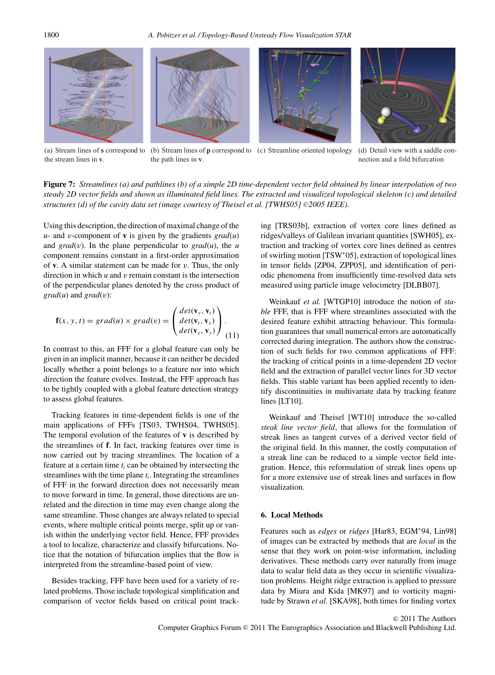

the stream lines in **v**.

(a) Stream lines of **s** correspond to (b) Stream lines of **p** correspond to (c) Streamline oriented topology (d) Detail view with a saddle conthe path lines in **v**.

nection and a fold bifurcation

**Figure 7:** *Streamlines (a) and pathlines (b) of a simple 2D time-dependent vector field obtained by linear interpolation of two steady 2D vector fields and shown as illuminated field lines. The extracted and visualized topological skeleton (c) and detailed structures (d) of the cavity data set (image courtesy of Theisel et al. [TWHS05]* ©2005 *IEEE*).

Using this description, the direction of maximal change of the  $u$ - and *v*-component of **v** is given by the gradients *grad*(*u*) and  $\text{grad}(v)$ . In the plane perpendicular to  $\text{grad}(u)$ , the *u* component remains constant in a first-order approximation of **v**. A similar statement can be made for v. Thus, the only direction in which *u* and v remain constant is the intersection of the perpendicular planes denoted by the cross product of *grad*(*u*) and *grad*(v):

$$
\mathbf{f}(x, y, t) = grad(u) \times grad(v) = \begin{pmatrix} det(\mathbf{v}_y, \mathbf{v}_t) \\ det(\mathbf{v}_t, \mathbf{v}_x) \\ det(\mathbf{v}_x, \mathbf{v}_y) \end{pmatrix} .
$$
 (11)

In contrast to this, an FFF for a global feature can only be given in an implicit manner, because it can neither be decided locally whether a point belongs to a feature nor into which direction the feature evolves. Instead, the FFF approach has to be tightly coupled with a global feature detection strategy to assess global features.

Tracking features in time-dependent fields is one of the main applications of FFFs [TS03, TWHS04, TWHS05]. The temporal evolution of the features of **v** is described by the streamlines of **f**. In fact, tracking features over time is now carried out by tracing streamlines. The location of a feature at a certain time *ti* can be obtained by intersecting the streamlines with the time plane  $t_i$ . Integrating the streamlines of FFF in the forward direction does not necessarily mean to move forward in time. In general, those directions are unrelated and the direction in time may even change along the same streamline. Those changes are always related to special events, where multiple critical points merge, split up or vanish within the underlying vector field. Hence, FFF provides a tool to localize, characterize and classify bifurcations. Notice that the notation of bifurcation implies that the flow is interpreted from the streamline-based point of view.

Besides tracking, FFF have been used for a variety of related problems. Those include topological simplification and comparison of vector fields based on critical point tracking [TRS03b], extraction of vortex core lines defined as ridges/valleys of Galilean invariant quantities [SWH05], extraction and tracking of vortex core lines defined as centres of swirling motion [TSW∗05], extraction of topological lines in tensor fields [ZP04, ZPP05], and identification of periodic phenomena from insufficiently time-resolved data sets measured using particle image velocimetry [DLBB07].

Weinkauf *et al.* [WTGP10] introduce the notion of *stable* FFF, that is FFF where streamlines associated with the desired feature exhibit attracting behaviour. This formulation guarantees that small numerical errors are automatically corrected during integration. The authors show the construction of such fields for two common applications of FFF: the tracking of critical points in a time-dependent 2D vector field and the extraction of parallel vector lines for 3D vector fields. This stable variant has been applied recently to identify discontinuities in multivariate data by tracking feature lines [LT10].

Weinkauf and Theisel [WT10] introduce the so-called *steak line vector field*, that allows for the formulation of streak lines as tangent curves of a derived vector field of the original field. In this manner, the costly computation of a streak line can be reduced to a simple vector field integration. Hence, this reformulation of streak lines opens up for a more extensive use of streak lines and surfaces in flow visualization.

#### **6. Local Methods**

Features such as *edges* or *ridges* [Har83, EGM∗94, Lin98] of images can be extracted by methods that are *local* in the sense that they work on point-wise information, including derivatives. These methods carry over naturally from image data to scalar field data as they occur in scientific visualization problems. Height ridge extraction is applied to pressure data by Miura and Kida [MK97] and to vorticity magnitude by Strawn *et al.* [SKA98], both times for finding vortex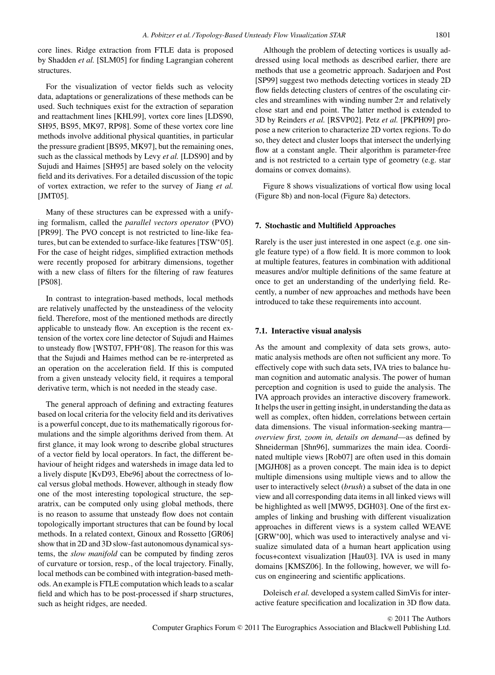core lines. Ridge extraction from FTLE data is proposed by Shadden *et al.* [SLM05] for finding Lagrangian coherent structures.

For the visualization of vector fields such as velocity data, adaptations or generalizations of these methods can be used. Such techniques exist for the extraction of separation and reattachment lines [KHL99], vortex core lines [LDS90, SH95, BS95, MK97, RP98]. Some of these vortex core line methods involve additional physical quantities, in particular the pressure gradient [BS95, MK97], but the remaining ones, such as the classical methods by Levy *et al.* [LDS90] and by Sujudi and Haimes [SH95] are based solely on the velocity field and its derivatives. For a detailed discussion of the topic of vortex extraction, we refer to the survey of Jiang *et al.* [JMT05].

Many of these structures can be expressed with a unifying formalism, called the *parallel vectors operator* (PVO) [PR99]. The PVO concept is not restricted to line-like features, but can be extended to surface-like features [TSW∗05]. For the case of height ridges, simplified extraction methods were recently proposed for arbitrary dimensions, together with a new class of filters for the filtering of raw features [PS08].

In contrast to integration-based methods, local methods are relatively unaffected by the unsteadiness of the velocity field. Therefore, most of the mentioned methods are directly applicable to unsteady flow. An exception is the recent extension of the vortex core line detector of Sujudi and Haimes to unsteady flow [WST07, FPH∗08]. The reason for this was that the Sujudi and Haimes method can be re-interpreted as an operation on the acceleration field. If this is computed from a given unsteady velocity field, it requires a temporal derivative term, which is not needed in the steady case.

The general approach of defining and extracting features based on local criteria for the velocity field and its derivatives is a powerful concept, due to its mathematically rigorous formulations and the simple algorithms derived from them. At first glance, it may look wrong to describe global structures of a vector field by local operators. In fact, the different behaviour of height ridges and watersheds in image data led to a lively dispute [KvD93, Ebe96] about the correctness of local versus global methods. However, although in steady flow one of the most interesting topological structure, the separatrix, can be computed only using global methods, there is no reason to assume that unsteady flow does not contain topologically important structures that can be found by local methods. In a related context, Ginoux and Rossetto [GR06] show that in 2D and 3D slow-fast autonomous dynamical systems, the *slow manifold* can be computed by finding zeros of curvature or torsion, resp., of the local trajectory. Finally, local methods can be combined with integration-based methods. An example is FTLE computation which leads to a scalar field and which has to be post-processed if sharp structures, such as height ridges, are needed.

Although the problem of detecting vortices is usually addressed using local methods as described earlier, there are methods that use a geometric approach. Sadarjoen and Post [SP99] suggest two methods detecting vortices in steady 2D flow fields detecting clusters of centres of the osculating circles and streamlines with winding number  $2\pi$  and relatively close start and end point. The latter method is extended to 3D by Reinders *et al.* [RSVP02]. Petz *et al.* [PKPH09] propose a new criterion to characterize 2D vortex regions. To do so, they detect and cluster loops that intersect the underlying flow at a constant angle. Their algorithm is parameter-free and is not restricted to a certain type of geometry (e.g. star domains or convex domains).

Figure 8 shows visualizations of vortical flow using local (Figure 8b) and non-local (Figure 8a) detectors.

## **7. Stochastic and Multifield Approaches**

Rarely is the user just interested in one aspect (e.g. one single feature type) of a flow field. It is more common to look at multiple features, features in combination with additional measures and/or multiple definitions of the same feature at once to get an understanding of the underlying field. Recently, a number of new approaches and methods have been introduced to take these requirements into account.

## **7.1. Interactive visual analysis**

As the amount and complexity of data sets grows, automatic analysis methods are often not sufficient any more. To effectively cope with such data sets, IVA tries to balance human cognition and automatic analysis. The power of human perception and cognition is used to guide the analysis. The IVA approach provides an interactive discovery framework. It helps the user in getting insight, in understanding the data as well as complex, often hidden, correlations between certain data dimensions. The visual information-seeking mantra *overview first, zoom in, details on demand*—as defined by Shneiderman [Shn96], summarizes the main idea. Coordinated multiple views [Rob07] are often used in this domain [MGJH08] as a proven concept. The main idea is to depict multiple dimensions using multiple views and to allow the user to interactively select (*brush*) a subset of the data in one view and all corresponding data items in all linked views will be highlighted as well [MW95, DGH03]. One of the first examples of linking and brushing with different visualization approaches in different views is a system called WEAVE [GRW∗00], which was used to interactively analyse and visualize simulated data of a human heart application using focus+context visualization [Hau03]. IVA is used in many domains [KMSZ06]. In the following, however, we will focus on engineering and scientific applications.

Doleisch *et al.* developed a system called SimVis for interactive feature specification and localization in 3D flow data.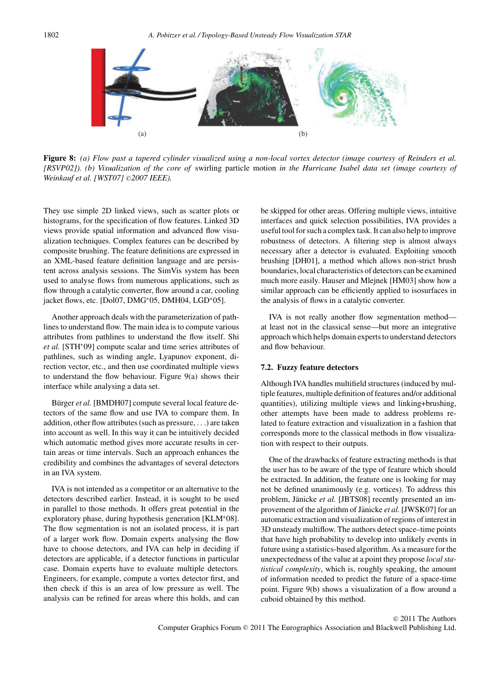

**Figure 8:** *(a) Flow past a tapered cylinder visualized using a non-local vortex detector (image courtesy of Reinders et al. [RSVP02]). (b) Visualization of the core of* swirling particle motion *in the Hurricane Isabel data set (image courtesy of Weinkauf et al.* [WST07]  $\odot$ 2007 IEEE).

They use simple 2D linked views, such as scatter plots or histograms, for the specification of flow features. Linked 3D views provide spatial information and advanced flow visualization techniques. Complex features can be described by composite brushing. The feature definitions are expressed in an XML-based feature definition language and are persistent across analysis sessions. The SimVis system has been used to analyse flows from numerous applications, such as flow through a catalytic converter, flow around a car, cooling jacket flows, etc. [Dol07, DMG∗05, DMH04, LGD∗05].

Another approach deals with the parameterization of pathlines to understand flow. The main idea is to compute various attributes from pathlines to understand the flow itself. Shi *et al.* [STH∗09] compute scalar and time series attributes of pathlines, such as winding angle, Lyapunov exponent, direction vector, etc., and then use coordinated multiple views to understand the flow behaviour. Figure 9(a) shows their interface while analysing a data set.

Bürger et al. [BMDH07] compute several local feature detectors of the same flow and use IVA to compare them. In addition, other flow attributes (such as pressure, ...) are taken into account as well. In this way it can be intuitively decided which automatic method gives more accurate results in certain areas or time intervals. Such an approach enhances the credibility and combines the advantages of several detectors in an IVA system.

IVA is not intended as a competitor or an alternative to the detectors described earlier. Instead, it is sought to be used in parallel to those methods. It offers great potential in the exploratory phase, during hypothesis generation [KLM∗08]. The flow segmentation is not an isolated process, it is part of a larger work flow. Domain experts analysing the flow have to choose detectors, and IVA can help in deciding if detectors are applicable, if a detector functions in particular case. Domain experts have to evaluate multiple detectors. Engineers, for example, compute a vortex detector first, and then check if this is an area of low pressure as well. The analysis can be refined for areas where this holds, and can be skipped for other areas. Offering multiple views, intuitive interfaces and quick selection possibilities, IVA provides a useful tool for such a complex task. It can also help to improve robustness of detectors. A filtering step is almost always necessary after a detector is evaluated. Exploiting smooth brushing [DH01], a method which allows non-strict brush boundaries, local characteristics of detectors can be examined much more easily. Hauser and Mlejnek [HM03] show how a similar approach can be efficiently applied to isosurfaces in the analysis of flows in a catalytic converter.

IVA is not really another flow segmentation method at least not in the classical sense—but more an integrative approach which helps domain experts to understand detectors and flow behaviour.

## **7.2. Fuzzy feature detectors**

Although IVA handles multifield structures (induced by multiple features, multiple definition of features and/or additional quantities), utilizing multiple views and linking+brushing, other attempts have been made to address problems related to feature extraction and visualization in a fashion that corresponds more to the classical methods in flow visualization with respect to their outputs.

One of the drawbacks of feature extracting methods is that the user has to be aware of the type of feature which should be extracted. In addition, the feature one is looking for may not be defined unanimously (e.g. vortices). To address this problem, Jänicke et al. [JBTS08] recently presented an improvement of the algorithm of Jänicke et al. [JWSK07] for an automatic extraction and visualization of regions of interest in 3D unsteady multiflow. The authors detect space–time points that have high probability to develop into unlikely events in future using a statistics-based algorithm. As a measure for the unexpectedness of the value at a point they propose *local statistical complexity*, which is, roughly speaking, the amount of information needed to predict the future of a space-time point. Figure 9(b) shows a visualization of a flow around a cuboid obtained by this method.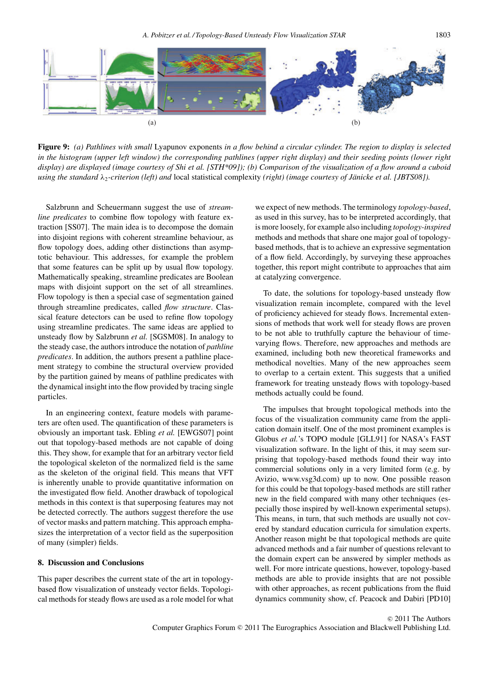

**Figure 9:** *(a) Pathlines with small* Lyapunov exponents *in a flow behind a circular cylinder. The region to display is selected in the histogram (upper left window) the corresponding pathlines (upper right display) and their seeding points (lower right display) are displayed (image courtesy of Shi et al. [STH\*09]); (b) Comparison of the visualization of a flow around a cuboid using the standard*  $\lambda_2$ -criterion (left) and local statistical complexity (right) (image courtesy of Jänicke et al. [JBTS08]).

Salzbrunn and Scheuermann suggest the use of *streamline predicates* to combine flow topology with feature extraction [SS07]. The main idea is to decompose the domain into disjoint regions with coherent streamline behaviour, as flow topology does, adding other distinctions than asymptotic behaviour. This addresses, for example the problem that some features can be split up by usual flow topology. Mathematically speaking, streamline predicates are Boolean maps with disjoint support on the set of all streamlines. Flow topology is then a special case of segmentation gained through streamline predicates, called *flow structure*. Classical feature detectors can be used to refine flow topology using streamline predicates. The same ideas are applied to unsteady flow by Salzbrunn *et al.* [SGSM08]. In analogy to the steady case, the authors introduce the notation of *pathline predicates*. In addition, the authors present a pathline placement strategy to combine the structural overview provided by the partition gained by means of pathline predicates with the dynamical insight into the flow provided by tracing single particles.

In an engineering context, feature models with parameters are often used. The quantification of these parameters is obviously an important task. Ebling *et al.* [EWGS07] point out that topology-based methods are not capable of doing this. They show, for example that for an arbitrary vector field the topological skeleton of the normalized field is the same as the skeleton of the original field. This means that VFT is inherently unable to provide quantitative information on the investigated flow field. Another drawback of topological methods in this context is that superposing features may not be detected correctly. The authors suggest therefore the use of vector masks and pattern matching. This approach emphasizes the interpretation of a vector field as the superposition of many (simpler) fields.

# **8. Discussion and Conclusions**

This paper describes the current state of the art in topologybased flow visualization of unsteady vector fields. Topological methods for steady flows are used as a role model for what we expect of new methods. The terminology *topology-based*, as used in this survey, has to be interpreted accordingly, that is more loosely, for example also including *topology-inspired* methods and methods that share one major goal of topologybased methods, that is to achieve an expressive segmentation of a flow field. Accordingly, by surveying these approaches together, this report might contribute to approaches that aim at catalyzing convergence.

To date, the solutions for topology-based unsteady flow visualization remain incomplete, compared with the level of proficiency achieved for steady flows. Incremental extensions of methods that work well for steady flows are proven to be not able to truthfully capture the behaviour of timevarying flows. Therefore, new approaches and methods are examined, including both new theoretical frameworks and methodical novelties. Many of the new approaches seem to overlap to a certain extent. This suggests that a unified framework for treating unsteady flows with topology-based methods actually could be found.

The impulses that brought topological methods into the focus of the visualization community came from the application domain itself. One of the most prominent examples is Globus *et al.*'s TOPO module [GLL91] for NASA's FAST visualization software. In the light of this, it may seem surprising that topology-based methods found their way into commercial solutions only in a very limited form (e.g. by Avizio, www.vsg3d.com) up to now. One possible reason for this could be that topology-based methods are still rather new in the field compared with many other techniques (especially those inspired by well-known experimental setups). This means, in turn, that such methods are usually not covered by standard education curricula for simulation experts. Another reason might be that topological methods are quite advanced methods and a fair number of questions relevant to the domain expert can be answered by simpler methods as well. For more intricate questions, however, topology-based methods are able to provide insights that are not possible with other approaches, as recent publications from the fluid dynamics community show, cf. Peacock and Dabiri [PD10]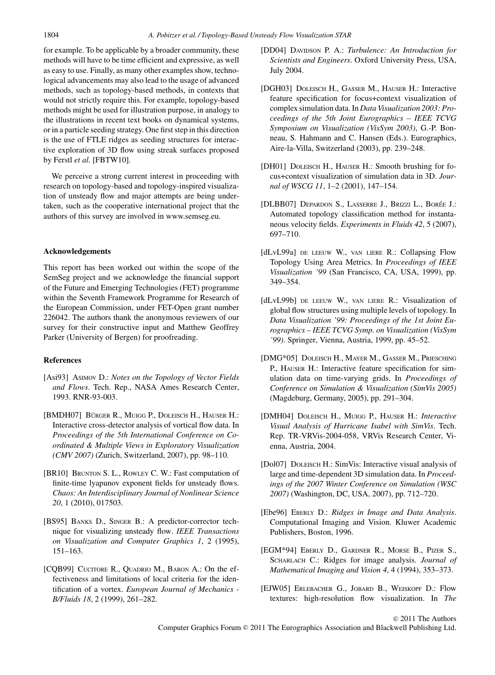for example. To be applicable by a broader community, these methods will have to be time efficient and expressive, as well as easy to use. Finally, as many other examples show, technological advancements may also lead to the usage of advanced methods, such as topology-based methods, in contexts that would not strictly require this. For example, topology-based methods might be used for illustration purpose, in analogy to the illustrations in recent text books on dynamical systems, or in a particle seeding strategy. One first step in this direction is the use of FTLE ridges as seeding structures for interactive exploration of 3D flow using streak surfaces proposed by Ferstl *et al.* [FBTW10].

We perceive a strong current interest in proceeding with research on topology-based and topology-inspired visualization of unsteady flow and major attempts are being undertaken, such as the cooperative international project that the authors of this survey are involved in www.semseg.eu.

#### **Acknowledgements**

This report has been worked out within the scope of the SemSeg project and we acknowledge the financial support of the Future and Emerging Technologies (FET) programme within the Seventh Framework Programme for Research of the European Commission, under FET-Open grant number 226042. The authors thank the anonymous reviewers of our survey for their constructive input and Matthew Geoffrey Parker (University of Bergen) for proofreading.

### **References**

- [Asi93] ASIMOV D.: *Notes on the Topology of Vector Fields and Flows*. Tech. Rep., NASA Ames Research Center, 1993. RNR-93-003.
- [BMDH07] BÜRGER R., MUIGG P., DOLEISCH H., HAUSER H.: Interactive cross-detector analysis of vortical flow data. In *Proceedings of the 5th International Conference on Coordinated & Multiple Views in Exploratory Visualization (CMV 2007)* (Zurich, Switzerland, 2007), pp. 98–110.
- [BR10] BRUNTON S. L., ROWLEY C. W.: Fast computation of finite-time lyapunov exponent fields for unsteady flows. *Chaos: An Interdisciplinary Journal of Nonlinear Science 20*, 1 (2010), 017503.
- [BS95] BANKS D., SINGER B.: A predictor-corrector technique for visualizing unsteady flow. *IEEE Transactions on Visualization and Computer Graphics 1*, 2 (1995), 151–163.
- [CQB99] CUCITORE R., QUADRIO M., BARON A.: On the effectiveness and limitations of local criteria for the identification of a vortex. *European Journal of Mechanics - B/Fluids 18*, 2 (1999), 261–282.
- [DD04] DAVIDSON P. A.: *Turbulence: An Introduction for Scientists and Engineers*. Oxford University Press, USA, July 2004.
- [DGH03] DOLEISCH H., GASSER M., HAUSER H.: Interactive feature specification for focus+context visualization of complex simulation data. In *Data Visualization 2003: Proceedings of the 5th Joint Eurographics – IEEE TCVG Symposium on Visualization (VisSym 2003)*, G.-P. Bonneau, S. Hahmann and C. Hansen (Eds.). Eurographics, Aire-la-Villa, Switzerland (2003), pp. 239–248.
- [DH01] DOLEISCH H., HAUSER H.: Smooth brushing for focus+context visualization of simulation data in 3D. *Journal of WSCG 11*, 1–2 (2001), 147–154.
- [DLBB07] DEPARDON S., LASSERRE J., BRIZZI L., BORÉE J.: Automated topology classification method for instantaneous velocity fields. *Experiments in Fluids 42*, 5 (2007), 697–710.
- [dLvL99a] DE LEEUW W., VAN LIERE R.: Collapsing Flow Topology Using Area Metrics. In *Proceedings of IEEE Visualization '99* (San Francisco, CA, USA, 1999), pp. 349–354.
- [dLvL99b] DE LEEUW W., VAN LIERE R.: Visualization of global flow structures using multiple levels of topology. In *Data Visualization '99: Proceedings of the 1st Joint Eurographics – IEEE TCVG Symp. on Visualization (VisSym '99)*. Springer, Vienna, Austria, 1999, pp. 45–52.
- [DMG\*05] DOLEISCH H., MAYER M., GASSER M., PRIESCHING P., HAUSER H.: Interactive feature specification for simulation data on time-varying grids. In *Proceedings of Conference on Simulation & Visualization (SimVis 2005)* (Magdeburg, Germany, 2005), pp. 291–304.
- [DMH04] DOLEISCH H., MUIGG P., HAUSER H.: *Interactive Visual Analysis of Hurricane Isabel with SimVis*. Tech. Rep. TR-VRVis-2004-058, VRVis Research Center, Vienna, Austria, 2004.
- [Dol07] DOLEISCH H.: SimVis: Interactive visual analysis of large and time-dependent 3D simulation data. In *Proceedings of the 2007 Winter Conference on Simulation (WSC 2007)* (Washington, DC, USA, 2007), pp. 712–720.
- [Ebe96] EBERLY D.: *Ridges in Image and Data Analysis*. Computational Imaging and Vision. Kluwer Academic Publishers, Boston, 1996.
- [EGM\*94] EBERLY D., GARDNER R., MORSE B., PIZER S., SCHARLACH C.: Ridges for image analysis. *Journal of Mathematical Imaging and Vision 4*, 4 (1994), 353–373.
- [EJW05] ERLEBACHER G., JOBARD B., WEISKOPF D.: Flow textures: high-resolution flow visualization. In *The*

© 2011 The Authors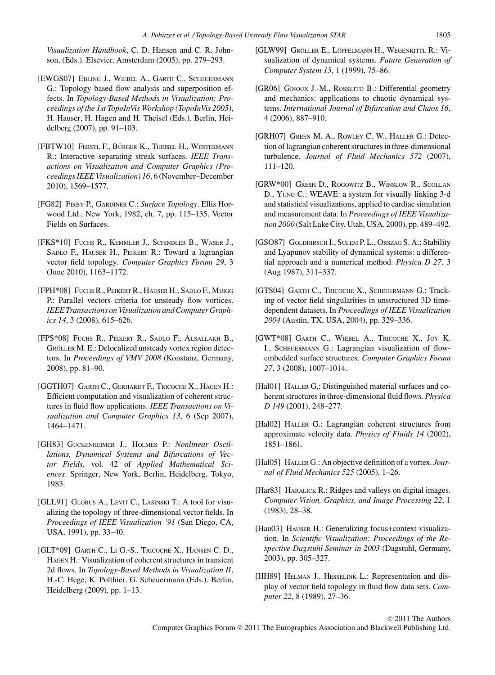*Visualization Handbook*, C. D. Hansen and C. R. Johnson, (Eds.). Elsevier, Amsterdam (2005), pp. 279–293.

- [EWGS07] EBLING J., WIEBEL A., GARTH C., SCHEUERMANN G.: Topology based flow analysis and superposition effects. In *Topology-Based Methods in Visualization: Proceedings of the 1st TopoInVis Workshop (TopoInVis 2005)*, H. Hauser, H. Hagen and H. Theisel (Eds.). Berlin, Heidelberg (2007), pp. 91–103.
- [FBTW10] FERSTL F., BÜRGER K., THEISEL H., WESTERMANN R.: Interactive separating streak surfaces. *IEEE Transactions on Visualization and Computer Graphics (Proceedings IEEE Visualization) 16*, 6 (November–December 2010), 1569–1577.
- [FG82] FIRBY P., GARDINER C.: *Surface Topology*. Ellis Horwood Ltd., New York, 1982, ch. 7, pp. 115–135. Vector Fields on Surfaces.
- [FKS\*10] FUCHS R., KEMMLER J., SCHINDLER B., WASER J., SADLO F., HAUSER H., PEIKERT R.: Toward a lagrangian vector field topology. *Computer Graphics Forum 29*, 3 (June 2010), 1163–1172.
- [FPH\*08] FUCHS R., PEIKERT R., HAUSER H., SADLO F., MUIGG P.: Parallel vectors criteria for unsteady flow vortices. *IEEE Transactions on Visualization and Computer Graphics 14*, 3 (2008), 615–626.
- [FPS\*08] FUCHS R., PEIKERT R., SADLO F., ALSALLAKH B., GRÖLLER M. E.: Delocalized unsteady vortex region detectors. In *Proceedings of VMV 2008* (Konstanz, Germany, 2008), pp. 81–90.
- [GGTH07] GARTH C., GERHARDT F., TRICOCHE X., HAGEN H.: Efficient computation and visualization of coherent structures in fluid flow applications. *IEEE Transactions on Visualization and Computer Graphics 13*, 6 (Sep 2007), 1464–1471.
- [GH83] GUCKENHEIMER J., HOLMES P.: *Nonlinear Oscillations, Dynamical Systems and Bifurcations of Vector Fields*, vol. 42 of *Applied Mathematical Sciences*. Springer, New York, Berlin, Heidelberg, Tokyo, 1983.
- [GLL91] GLOBUS A., LEVIT C., LASINSKI T.: A tool for visualizing the topology of three-dimensional vector fields. In *Proceedings of IEEE Visualization '91* (San Diego, CA, USA, 1991), pp. 33–40.
- [GLT\*09] GARTH C., LI G.-S., TRICOCHE X., HANSEN C. D., HAGEN H.: Visualization of coherent structures in transient 2d flows. In *Topology-Based Methods in Visualization II*, H.-C. Hege, K. Polthier, G. Scheuermann (Eds.). Berlin, Heidelberg (2009), pp. 1–13.
- [GLW99] GRÖLLER E., LÖFFELMANN H., WEGENKITTL R.: Visualization of dynamical systems. *Future Generation of Computer System 15*, 1 (1999), 75–86.
- [GR06] GINOUX J.-M., ROSSETTO B.: Differential geometry and mechanics: applications to chaotic dynamical systems. *International Journal of Bifurcation and Chaos 16*, 4 (2006), 887–910.
- [GRH07] GREEN M. A., ROWLEY C. W., HALLER G.: Detection of lagrangian coherent structures in three-dimensional turbulence. *Journal of Fluid Mechanics 572* (2007), 111–120.
- [GRW\*00] GRESH D., ROGOWITZ B., WINSLOW R., SCOLLAN D., YUNG C.: WEAVE: a system for visually linking 3-d and statistical visualizations, applied to cardiac simulation and measurement data. In *Proceedings of IEEE Visualization 2000* (Salt Lake City, Utah, USA, 2000), pp. 489–492.
- [GSO87] GOLDHIRSCH I., SULEM P. L., ORSZAG S. A.: Stability and Lyapunov stability of dynamical systems: a differential approach and a numerical method. *Physica D 27*, 3 (Aug 1987), 311–337.
- [GTS04] GARTH C., TRICOCHE X., SCHEUERMANN G.: Tracking of vector field singularities in unstructured 3D timedependent datasets. In *Proceedings of IEEE Visualization 2004* (Austin, TX, USA, 2004), pp. 329–336.
- [GWT\*08] GARTH C., WIEBEL A., TRICOCHE X., JOY K. I., SCHEUERMANN G.: Lagrangian visualization of flowembedded surface structures. *Computer Graphics Forum 27*, 3 (2008), 1007–1014.
- [Hal01] HALLER G.: Distinguished material surfaces and coherent structures in three-dimensional fluid flows. *Physica D 149* (2001), 248–277.
- [Hal02] HALLER G.: Lagrangian coherent structures from approximate velocity data. *Physics of Fluids 14* (2002), 1851–1861.
- [Hal05] HALLER G.: An objective definition of a vortex. *Journal of Fluid Mechanics 525* (2005), 1–26.
- [Har83] HARALICK R.: Ridges and valleys on digital images. *Computer Vision, Graphics, and Image Processing 22*, 1 (1983), 28–38.
- [Hau03] HAUSER H.: Generalizing focus+context visualization. In *Scientific Visualization: Proceedings of the Respective Dagstuhl Seminar in 2003* (Dagstuhl, Germany, 2003), pp. 305–327.
- [HH89] HELMAN J., HESSELINK L.: Representation and display of vector field topology in fluid flow data sets. *Computer 22*, 8 (1989), 27–36.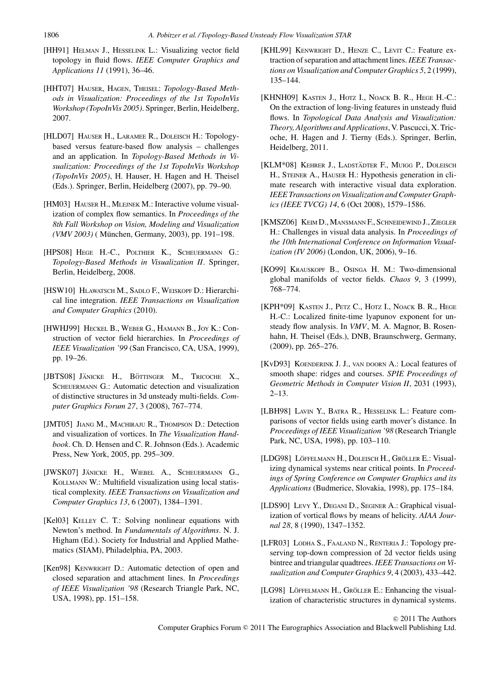- [HH91] HELMAN J., HESSELINK L.: Visualizing vector field topology in fluid flows. *IEEE Computer Graphics and Applications 11* (1991), 36–46.
- [HHT07] HAUSER, HAGEN, THEISEL: *Topology-Based Methods in Visualization: Proceedings of the 1st TopoInVis Workshop (TopoInVis 2005)*. Springer, Berlin, Heidelberg, 2007.
- [HLD07] HAUSER H., LARAMEE R., DOLEISCH H.: Topologybased versus feature-based flow analysis – challenges and an application. In *Topology-Based Methods in Visualization: Proceedings of the 1st TopoInVis Workshop (TopoInVis 2005)*, H. Hauser, H. Hagen and H. Theisel (Eds.). Springer, Berlin, Heidelberg (2007), pp. 79–90.
- [HM03] HAUSER H., MLEJNEK M.: Interactive volume visualization of complex flow semantics. In *Proceedings of the 8th Fall Workshop on Vision, Modeling and Visualization (VMV 2003)* ( München, Germany, 2003), pp. 191-198.
- [HPS08] HEGE H.-C., POLTHIER K., SCHEUERMANN G.: *Topology-Based Methods in Visualization II*. Springer, Berlin, Heidelberg, 2008.
- [HSW10] HLAWATSCH M., SADLO F., WEISKOPF D.: Hierarchical line integration. *IEEE Transactions on Visualization and Computer Graphics* (2010).
- [HWHJ99] HECKEL B., WEBER G., HAMANN B., JOY K.: Construction of vector field hierarchies. In *Proceedings of IEEE Visualization '99* (San Francisco, CA, USA, 1999), pp. 19–26.
- [JBTS08] JÄNICKE H., BÖTTINGER M., TRICOCHE X., SCHEUERMANN G.: Automatic detection and visualization of distinctive structures in 3d unsteady multi-fields. *Computer Graphics Forum 27*, 3 (2008), 767–774.
- [JMT05] JIANG M., MACHIRAJU R., THOMPSON D.: Detection and visualization of vortices. In *The Visualization Handbook*. Ch. D. Hensen and C. R. Johnson (Eds.). Academic Press, New York, 2005, pp. 295–309.
- [JWSK07] JÄNICKE H., WIEBEL A., SCHEUERMANN G., KOLLMANN W.: Multifield visualization using local statistical complexity. *IEEE Transactions on Visualization and Computer Graphics 13*, 6 (2007), 1384–1391.
- [Kel03] KELLEY C. T.: Solving nonlinear equations with Newton's method. In *Fundamentals of Algorithms*. N. J. Higham (Ed.). Society for Industrial and Applied Mathematics (SIAM), Philadelphia, PA, 2003.
- [Ken98] KENWRIGHT D.: Automatic detection of open and closed separation and attachment lines. In *Proceedings of IEEE Visualization '98* (Research Triangle Park, NC, USA, 1998), pp. 151–158.
- [KHL99] KENWRIGHT D., HENZE C., LEVIT C.: Feature extraction of separation and attachment lines. *IEEE Transactions on Visualization and Computer Graphics 5*, 2 (1999), 135–144.
- [KHNH09] KASTEN J., HOTZ I., NOACK B. R., HEGE H.-C.: On the extraction of long-living features in unsteady fluid flows. In *Topological Data Analysis and Visualization: Theory, Algorithms and Applications*, V. Pascucci, X. Tricoche, H. Hagen and J. Tierny (Eds.). Springer, Berlin, Heidelberg, 2011.
- [KLM\*08] KEHRER J., LADSTÄDTER F., MUIGG P., DOLEISCH H., STEINER A., HAUSER H.: Hypothesis generation in climate research with interactive visual data exploration. *IEEE Transactions on Visualization and Computer Graphics (IEEE TVCG) 14*, 6 (Oct 2008), 1579–1586.
- [KMSZ06] KEIM D., MANSMANN F., SCHNEIDEWIND J., ZIEGLER H.: Challenges in visual data analysis. In *Proceedings of the 10th International Conference on Information Visualization (IV 2006)* (London, UK, 2006), 9–16.
- [KO99] KRAUSKOPF B., OSINGA H. M.: Two-dimensional global manifolds of vector fields. *Chaos 9*, 3 (1999), 768–774.
- [KPH\*09] KASTEN J., PETZ C., HOTZ I., NOACK B. R., HEGE H.-C.: Localized finite-time lyapunov exponent for unsteady flow analysis. In *VMV*, M. A. Magnor, B. Rosenhahn, H. Theisel (Eds.), DNB, Braunschwerg, Germany, (2009), pp. 265–276.
- [KvD93] KOENDERINK J. J., VAN DOORN A.: Local features of smooth shape: ridges and courses. *SPIE Proceedings of Geometric Methods in Computer Vision II*, 2031 (1993), 2–13.
- [LBH98] LAVIN Y., BATRA R., HESSELINK L.: Feature comparisons of vector fields using earth mover's distance. In *Proceedings of IEEE Visualization '98* (Research Triangle Park, NC, USA, 1998), pp. 103–110.
- [LDG98] LÖFFELMANN H., DOLEISCH H., GRÖLLER E.: Visualizing dynamical systems near critical points. In *Proceedings of Spring Conference on Computer Graphics and its Applications* (Budmerice, Slovakia, 1998), pp. 175–184.
- [LDS90] LEVY Y., DEGANI D., SEGINER A.: Graphical visualization of vortical flows by means of helicity. *AIAA Journal 28*, 8 (1990), 1347–1352.
- [LFR03] LODHA S., FAALAND N., RENTERIA J.: Topology preserving top-down compression of 2d vector fields using bintree and triangular quadtrees. *IEEE Transactions on Visualization and Computer Graphics 9*, 4 (2003), 433–442.
- [LG98] LÖFFELMANN H., GRÖLLER E.: Enhancing the visualization of characteristic structures in dynamical systems.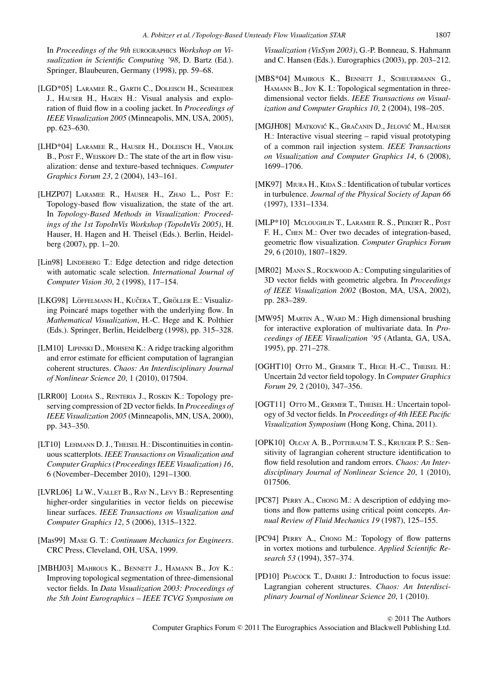In *Proceedings of the 9th* EUROGRAPHICS *Workshop on Visualization in Scientific Computing '98*, D. Bartz (Ed.). Springer, Blaubeuren, Germany (1998), pp. 59–68.

- [LGD\*05] LARAMEE R., GARTH C., DOLEISCH H., SCHNEIDER J., HAUSER H., HAGEN H.: Visual analysis and exploration of fluid flow in a cooling jacket. In *Proceedings of IEEE Visualization 2005* (Minneapolis, MN, USA, 2005), pp. 623–630.
- [LHD\*04] LARAMEE R., HAUSER H., DOLEISCH H., VROLIJK B., POST F., WEISKOPF D.: The state of the art in flow visualization: dense and texture-based techniques. *Computer Graphics Forum 23*, 2 (2004), 143–161.
- [LHZP07] LARAMEE R., HAUSER H., ZHAO L., POST F.: Topology-based flow visualization, the state of the art. In *Topology-Based Methods in Visualization: Proceedings of the 1st TopoInVis Workshop (TopoInVis 2005)*, H. Hauser, H. Hagen and H. Theisel (Eds.). Berlin, Heidelberg (2007), pp. 1–20.
- [Lin98] LINDEBERG T.: Edge detection and ridge detection with automatic scale selection. *International Journal of Computer Vision 30*, 2 (1998), 117–154.
- [LKG98] LÖFFELMANN H., KUČERA T., GRÖLLER E.: Visualizing Poincaré maps together with the underlying flow. In *Mathematical Visualization*, H.-C. Hege and K. Polthier (Eds.). Springer, Berlin, Heidelberg (1998), pp. 315–328.
- [LM10] LIPINSKI D., MOHSENI K.: A ridge tracking algorithm and error estimate for efficient computation of lagrangian coherent structures. *Chaos: An Interdisciplinary Journal of Nonlinear Science 20*, 1 (2010), 017504.
- [LRR00] LODHA S., RENTERIA J., ROSKIN K.: Topology preserving compression of 2D vector fields. In *Proceedings of IEEE Visualization 2005* (Minneapolis, MN, USA, 2000), pp. 343–350.
- [LT10] LEHMANN D. J., THEISEL H.: Discontinuities in continuous scatterplots. *IEEE Transactions on Visualization and Computer Graphics (Proceedings IEEE Visualization) 16*, 6 (November–December 2010), 1291–1300.
- [LVRL06] LI W., VALLET B., RAY N., LEVY B.: Representing higher-order singularities in vector fields on piecewise linear surfaces. *IEEE Transactions on Visualization and Computer Graphics 12*, 5 (2006), 1315–1322.
- [Mas99] MASE G. T.: *Continuum Mechanics for Engineers*. CRC Press, Cleveland, OH, USA, 1999.
- [MBHJ03] MAHROUS K., BENNETT J., HAMANN B., JOY K.: Improving topological segmentation of three-dimensional vector fields. In *Data Visualization 2003: Proceedings of the 5th Joint Eurographics – IEEE TCVG Symposium on*

*Visualization (VisSym 2003)*, G.-P. Bonneau, S. Hahmann and C. Hansen (Eds.). Eurographics (2003), pp. 203–212.

- [MBS\*04] MAHROUS K., BENNETT J., SCHEUERMANN G., HAMANN B., JOY K. I.: Topological segmentation in threedimensional vector fields. *IEEE Transactions on Visualization and Computer Graphics 10*, 2 (2004), 198–205.
- [MGJH08] MATKOVIĆ K., GRAČANIN D., JELOVIĆ M., HAUSER H.: Interactive visual steering – rapid visual prototyping of a common rail injection system. *IEEE Transactions on Visualization and Computer Graphics 14*, 6 (2008), 1699–1706.
- [MK97] MIURA H., KIDA S.: Identification of tubular vortices in turbulence. *Journal of the Physical Society of Japan 66* (1997), 1331–1334.
- [MLP\*10] MCLOUGHLIN T., LARAMEE R. S., PEIKERT R., POST F. H., CHEN M.: Over two decades of integration-based, geometric flow visualization. *Computer Graphics Forum 29*, 6 (2010), 1807–1829.
- [MR02] MANN S., ROCKWOOD A.: Computing singularities of 3D vector fields with geometric algebra. In *Proceedings of IEEE Visualization 2002* (Boston, MA, USA, 2002), pp. 283–289.
- [MW95] MARTIN A., WARD M.: High dimensional brushing for interactive exploration of multivariate data. In *Proceedings of IEEE Visualization '95* (Atlanta, GA, USA, 1995), pp. 271–278.
- [OGHT10] OTTO M., GERMER T., HEGE H.-C., THEISEL H.: Uncertain 2d vector field topology. In *Computer Graphics Forum 29,* 2 (2010), 347–356.
- [OGT11] OTTO M., GERMER T., THEISEL H.: Uncertain topology of 3d vector fields. In *Proceedings of 4th IEEE Pacific Visualization Symposium* (Hong Kong, China, 2011).
- [OPK10] OLCAY A. B., POTTEBAUM T. S., KRUEGER P. S.: Sensitivity of lagrangian coherent structure identification to flow field resolution and random errors. *Chaos: An Interdisciplinary Journal of Nonlinear Science 20*, 1 (2010), 017506.
- [PC87] PERRY A., CHONG M.: A description of eddying motions and flow patterns using critical point concepts. *Annual Review of Fluid Mechanics 19* (1987), 125–155.
- [PC94] PERRY A., CHONG M.: Topology of flow patterns in vortex motions and turbulence. *Applied Scientific Research 53* (1994), 357–374.
- [PD10] PEACOCK T., DABIRI J.: Introduction to focus issue: Lagrangian coherent structures. *Chaos: An Interdisciplinary Journal of Nonlinear Science 20*, 1 (2010).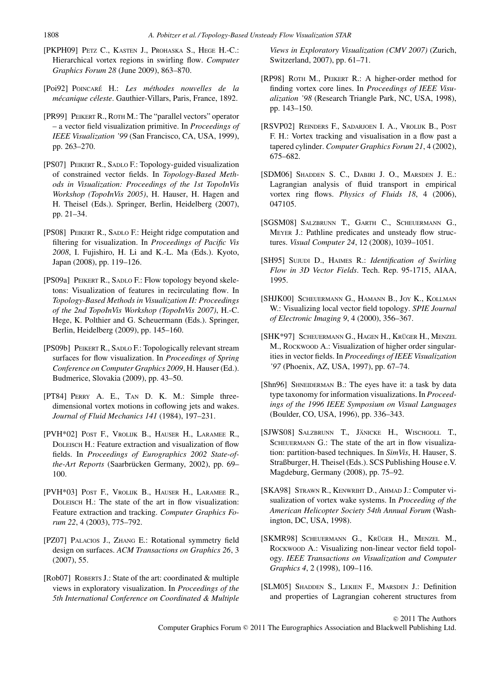- [PKPH09] PETZ C., KASTEN J., PROHASKA S., HEGE H.-C.: Hierarchical vortex regions in swirling flow. *Computer Graphics Forum 28* (June 2009), 863–870.
- [Poi92] POINCARE´ H.: *Les methodes nouvelles de la ´ mecanique c ´ eleste ´* . Gauthier-Villars, Paris, France, 1892.
- [PR99] PEIKERT R., ROTH M.: The "parallel vectors" operator – a vector field visualization primitive. In *Proceedings of IEEE Visualization '99* (San Francisco, CA, USA, 1999), pp. 263–270.
- [PS07] PEIKERT R., SADLO F.: Topology-guided visualization of constrained vector fields. In *Topology-Based Methods in Visualization: Proceedings of the 1st TopoInVis Workshop (TopoInVis 2005)*, H. Hauser, H. Hagen and H. Theisel (Eds.). Springer, Berlin, Heidelberg (2007), pp. 21–34.
- [PS08] PEIKERT R., SADLO F.: Height ridge computation and filtering for visualization. In *Proceedings of Pacific Vis 2008*, I. Fujishiro, H. Li and K.-L. Ma (Eds.). Kyoto, Japan (2008), pp. 119–126.
- [PS09a] PEIKERT R., SADLO F.: Flow topology beyond skeletons: Visualization of features in recirculating flow. In *Topology-Based Methods in Visualization II: Proceedings of the 2nd TopoInVis Workshop (TopoInVis 2007)*, H.-C. Hege, K. Polthier and G. Scheuermann (Eds.). Springer, Berlin, Heidelberg (2009), pp. 145–160.
- [PS09b] PEIKERT R., SADLO F.: Topologically relevant stream surfaces for flow visualization. In *Proceedings of Spring Conference on Computer Graphics 2009*, H. Hauser (Ed.). Budmerice, Slovakia (2009), pp. 43–50.
- [PT84] PERRY A. E., TAN D. K. M.: Simple threedimensional vortex motions in coflowing jets and wakes. *Journal of Fluid Mechanics 141* (1984), 197–231.
- [PVH\*02] POST F., VROLIJK B., HAUSER H., LARAMEE R., DOLEISCH H.: Feature extraction and visualization of flow fields. In *Proceedings of Eurographics 2002 State-ofthe-Art Reports* (Saarbrücken Germany, 2002), pp. 69– 100.
- [PVH\*03] POST F., VROLIJK B., HAUSER H., LARAMEE R., DOLEISCH H.: The state of the art in flow visualization: Feature extraction and tracking. *Computer Graphics Forum 22*, 4 (2003), 775–792.
- [PZ07] PALACIOS J., ZHANG E.: Rotational symmetry field design on surfaces. *ACM Transactions on Graphics 26*, 3 (2007), 55.
- [Rob07] ROBERTS J.: State of the art: coordinated & multiple views in exploratory visualization. In *Proceedings of the 5th International Conference on Coordinated & Multiple*

*Views in Exploratory Visualization (CMV 2007)* (Zurich, Switzerland, 2007), pp. 61–71.

- [RP98] ROTH M., PEIKERT R.: A higher-order method for finding vortex core lines. In *Proceedings of IEEE Visualization '98* (Research Triangle Park, NC, USA, 1998), pp. 143–150.
- [RSVP02] REINDERS F., SADARJOEN I. A., VROLIJK B., POST F. H.: Vortex tracking and visualisation in a flow past a tapered cylinder. *Computer Graphics Forum 21*, 4 (2002), 675–682.
- [SDM06] SHADDEN S. C., DABIRI J. O., MARSDEN J. E.: Lagrangian analysis of fluid transport in empirical vortex ring flows. *Physics of Fluids 18*, 4 (2006), 047105.
- [SGSM08] SALZBRUNN T., GARTH C., SCHEUERMANN G., MEYER J.: Pathline predicates and unsteady flow structures. *Visual Computer 24*, 12 (2008), 1039–1051.
- [SH95] SUJUDI D., HAIMES R.: *Identification of Swirling Flow in 3D Vector Fields*. Tech. Rep. 95-1715, AIAA, 1995.
- [SHJK00] SCHEUERMANN G., HAMANN B., JOY K., KOLLMAN W.: Visualizing local vector field topology. *SPIE Journal of Electronic Imaging 9*, 4 (2000), 356–367.
- [SHK\*97] SCHEUERMANN G., HAGEN H., KRÜGER H., MENZEL M., ROCKWOOD A.: Visualization of higher order singularities in vector fields. In *Proceedings of IEEE Visualization '97* (Phoenix, AZ, USA, 1997), pp. 67–74.
- [Shn96] SHNEIDERMAN B.: The eyes have it: a task by data type taxonomy for information visualizations. In *Proceedings of the 1996 IEEE Symposium on Visual Languages* (Boulder, CO, USA, 1996), pp. 336–343.
- [SJWS08] SALZBRUNN T., JÄNICKE H., WISCHGOLL T., SCHEUERMANN G.: The state of the art in flow visualization: partition-based techniques. In *SimVis*, H. Hauser, S. Straßburger, H. Theisel (Eds.). SCS Publishing House e.V. Magdeburg, Germany (2008), pp. 75–92.
- [SKA98] STRAWN R., KENWRIHT D., AHMAD J.: Computer visualization of vortex wake systems. In *Proceeding of the American Helicopter Society 54th Annual Forum* (Washington, DC, USA, 1998).
- [SKMR98] SCHEUERMANN G., KRÜGER H., MENZEL M., ROCKWOOD A.: Visualizing non-linear vector field topology. *IEEE Transactions on Visualization and Computer Graphics 4*, 2 (1998), 109–116.
- [SLM05] SHADDEN S., LEKIEN F., MARSDEN J.: Definition and properties of Lagrangian coherent structures from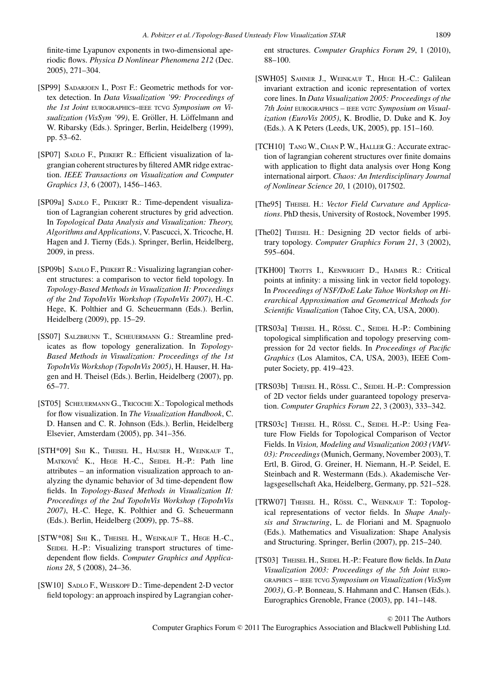finite-time Lyapunov exponents in two-dimensional aperiodic flows. *Physica D Nonlinear Phenomena 212* (Dec. 2005), 271–304.

- [SP99] SADARJOEN I., POST F.: Geometric methods for vortex detection. In *Data Visualization '99: Proceedings of the 1st Joint* EUROGRAPHICS–IEEE TCVG *Symposium on Vi*sualization (VisSym '99), E. Gröller, H. Löffelmann and W. Ribarsky (Eds.). Springer, Berlin, Heidelberg (1999), pp. 53–62.
- [SP07] SADLO F., PEIKERT R.: Efficient visualization of lagrangian coherent structures by filtered AMR ridge extraction. *IEEE Transactions on Visualization and Computer Graphics 13*, 6 (2007), 1456–1463.
- [SP09a] SADLO F., PEIKERT R.: Time-dependent visualization of Lagrangian coherent structures by grid advection. In *Topological Data Analysis and Visualization: Theory, Algorithms and Applications*, V. Pascucci, X. Tricoche, H. Hagen and J. Tierny (Eds.). Springer, Berlin, Heidelberg, 2009, in press.
- [SP09b] SADLO F., PEIKERT R.: Visualizing lagrangian coherent structures: a comparison to vector field topology. In *Topology-Based Methods in Visualization II: Proceedings of the 2nd TopoInVis Workshop (TopoInVis 2007)*, H.-C. Hege, K. Polthier and G. Scheuermann (Eds.). Berlin, Heidelberg (2009), pp. 15–29.
- [SS07] SALZBRUNN T., SCHEUERMANN G.: Streamline predicates as flow topology generalization. In *Topology-Based Methods in Visualization: Proceedings of the 1st TopoInVis Workshop (TopoInVis 2005)*, H. Hauser, H. Hagen and H. Theisel (Eds.). Berlin, Heidelberg (2007), pp. 65–77.
- [ST05] SCHEUERMANN G., TRICOCHE X.: Topological methods for flow visualization. In *The Visualization Handbook*, C. D. Hansen and C. R. Johnson (Eds.). Berlin, Heidelberg Elsevier, Amsterdam (2005), pp. 341–356.
- [STH\*09] SHI K., THEISEL H., HAUSER H., WEINKAUF T., MATKOVIĆ K., HEGE H.-C., SEIDEL H.-P.: Path line attributes – an information visualization approach to analyzing the dynamic behavior of 3d time-dependent flow fields. In *Topology-Based Methods in Visualization II: Proceedings of the 2nd TopoInVis Workshop (TopoInVis 2007)*, H.-C. Hege, K. Polthier and G. Scheuermann (Eds.). Berlin, Heidelberg (2009), pp. 75–88.
- [STW\*08] SHI K., THEISEL H., WEINKAUF T., HEGE H.-C., SEIDEL H.-P.: Visualizing transport structures of timedependent flow fields. *Computer Graphics and Applications 28*, 5 (2008), 24–36.
- [SW10] SADLO F., WEISKOPF D.: Time-dependent 2-D vector field topology: an approach inspired by Lagrangian coher-

ent structures. *Computer Graphics Forum 29*, 1 (2010), 88–100.

- [SWH05] SAHNER J., WEINKAUF T., HEGE H.-C.: Galilean invariant extraction and iconic representation of vortex core lines. In *Data Visualization 2005: Proceedings of the 7th Joint* EUROGRAPHICS *–* IEEE VGTC *Symposium on Visualization (EuroVis 2005)*, K. Brodlie, D. Duke and K. Joy (Eds.). A K Peters (Leeds, UK, 2005), pp. 151–160.
- [TCH10] TANG W., CHAN P. W., HALLER G.: Accurate extraction of lagrangian coherent structures over finite domains with application to flight data analysis over Hong Kong international airport. *Chaos: An Interdisciplinary Journal of Nonlinear Science 20*, 1 (2010), 017502.
- [The95] THEISEL H.: *Vector Field Curvature and Applications*. PhD thesis, University of Rostock, November 1995.
- [The02] THEISEL H.: Designing 2D vector fields of arbitrary topology. *Computer Graphics Forum 21*, 3 (2002), 595–604.
- [TKH00] TROTTS I., KENWRIGHT D., HAIMES R.: Critical points at infinity: a missing link in vector field topology. In *Proceedings of NSF/DoE Lake Tahoe Workshop on Hierarchical Approximation and Geometrical Methods for Scientific Visualization* (Tahoe City, CA, USA, 2000).
- [TRS03a] THEISEL H., RÖSSL C., SEIDEL H.-P.: Combining topological simplification and topology preserving compression for 2d vector fields. In *Proceedings of Pacific Graphics* (Los Alamitos, CA, USA, 2003), IEEE Computer Society, pp. 419–423.
- [TRS03b] THEISEL H., RÖSSL C., SEIDEL H.-P.: Compression of 2D vector fields under guaranteed topology preservation. *Computer Graphics Forum 22*, 3 (2003), 333–342.
- [TRS03c] THEISEL H., RÖSSL C., SEIDEL H.-P.: Using Feature Flow Fields for Topological Comparison of Vector Fields. In *Vision, Modeling and Visualization 2003 (VMV-03): Proceedings*(Munich, Germany, November 2003), T. Ertl, B. Girod, G. Greiner, H. Niemann, H.-P. Seidel, E. Steinbach and R. Westermann (Eds.). Akademische Verlagsgesellschaft Aka, Heidelberg, Germany, pp. 521–528.
- [TRW07] THEISEL H., RÖSSL C., WEINKAUF T.: Topological representations of vector fields. In *Shape Analysis and Structuring*, L. de Floriani and M. Spagnuolo (Eds.). Mathematics and Visualization: Shape Analysis and Structuring. Springer, Berlin (2007), pp. 215–240.
- [TS03] THEISEL H., SEIDEL H.-P.: Feature flow fields. In *Data Visualization 2003: Proceedings of the 5th Joint* EURO-GRAPHICS – IEEE TCVG *Symposium on Visualization (VisSym 2003)*, G.-P. Bonneau, S. Hahmann and C. Hansen (Eds.). Eurographics Grenoble, France (2003), pp. 141–148.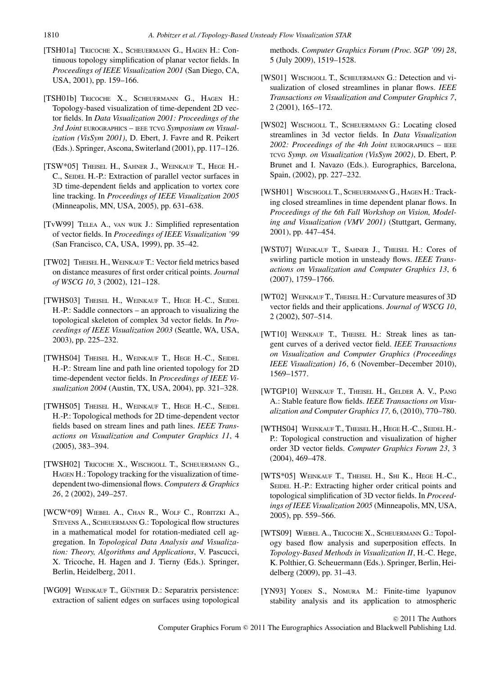- [TSH01a] TRICOCHE X., SCHEUERMANN G., HAGEN H.: Continuous topology simplification of planar vector fields. In *Proceedings of IEEE Visualization 2001* (San Diego, CA, USA, 2001), pp. 159–166.
- [TSH01b] TRICOCHE X., SCHEUERMANN G., HAGEN H.: Topology-based visualization of time-dependent 2D vector fields. In *Data Visualization 2001: Proceedings of the 3rd Joint* EUROGRAPHICS – IEEE TCVG *Symposium on Visualization (VisSym 2001)*, D. Ebert, J. Favre and R. Peikert (Eds.). Springer, Ascona, Switerland (2001), pp. 117–126.
- [TSW\*05] THEISEL H., SAHNER J., WEINKAUF T., HEGE H.- C., SEIDEL H.-P.: Extraction of parallel vector surfaces in 3D time-dependent fields and application to vortex core line tracking. In *Proceedings of IEEE Visualization 2005* (Minneapolis, MN, USA, 2005), pp. 631–638.
- [TvW99] TELEA A., VAN WIJK J.: Simplified representation of vector fields. In *Proceedings of IEEE Visualization '99* (San Francisco, CA, USA, 1999), pp. 35–42.
- [TW02] THEISEL H., WEINKAUF T.: Vector field metrics based on distance measures of first order critical points. *Journal of WSCG 10*, 3 (2002), 121–128.
- [TWHS03] THEISEL H., WEINKAUF T., HEGE H.-C., SEIDEL H.-P.: Saddle connectors – an approach to visualizing the topological skeleton of complex 3d vector fields. In *Proceedings of IEEE Visualization 2003* (Seattle, WA, USA, 2003), pp. 225–232.
- [TWHS04] THEISEL H., WEINKAUF T., HEGE H.-C., SEIDEL H.-P.: Stream line and path line oriented topology for 2D time-dependent vector fields. In *Proceedings of IEEE Visualization 2004* (Austin, TX, USA, 2004), pp. 321–328.
- [TWHS05] THEISEL H., WEINKAUF T., HEGE H.-C., SEIDEL H.-P.: Topological methods for 2D time-dependent vector fields based on stream lines and path lines. *IEEE Transactions on Visualization and Computer Graphics 11*, 4 (2005), 383–394.
- [TWSH02] TRICOCHE X., WISCHGOLL T., SCHEUERMANN G., HAGEN H.: Topology tracking for the visualization of timedependent two-dimensional flows.*Computers & Graphics 26*, 2 (2002), 249–257.
- [WCW\*09] WIEBEL A., CHAN R., WOLF C., ROBITZKI A., STEVENS A., SCHEUERMANN G.: Topological flow structures in a mathematical model for rotation-mediated cell aggregation. In *Topological Data Analysis and Visualization: Theory, Algorithms and Applications*, V. Pascucci, X. Tricoche, H. Hagen and J. Tierny (Eds.). Springer, Berlin, Heidelberg, 2011.
- [WG09] WEINKAUF T., GÜNTHER D.: Separatrix persistence: extraction of salient edges on surfaces using topological

methods. *Computer Graphics Forum (Proc. SGP '09) 28*, 5 (July 2009), 1519–1528.

- [WS01] WISCHGOLL T., SCHEUERMANN G.: Detection and visualization of closed streamlines in planar flows. *IEEE Transactions on Visualization and Computer Graphics 7*, 2 (2001), 165–172.
- [WS02] WISCHGOLL T., SCHEUERMANN G.: Locating closed streamlines in 3d vector fields. In *Data Visualization 2002: Proceedings of the 4th Joint* EUROGRAPHICS – IEEE TCVG *Symp. on Visualization (VisSym 2002)*, D. Ebert, P. Brunet and I. Navazo (Eds.). Eurographics, Barcelona, Spain, (2002), pp. 227–232.
- [WSH01] WISCHGOLL T., SCHEUERMANN G., HAGEN H.: Tracking closed streamlines in time dependent planar flows. In *Proceedings of the 6th Fall Workshop on Vision, Modeling and Visualization (VMV 2001)* (Stuttgart, Germany, 2001), pp. 447–454.
- [WST07] WEINKAUF T., SAHNER J., THEISEL H.: Cores of swirling particle motion in unsteady flows. *IEEE Transactions on Visualization and Computer Graphics 13*, 6 (2007), 1759–1766.
- [WT02] WEINKAUF T., THEISEL H.: Curvature measures of 3D vector fields and their applications. *Journal of WSCG 10*, 2 (2002), 507–514.
- [WT10] WEINKAUF T., THEISEL H.: Streak lines as tangent curves of a derived vector field. *IEEE Transactions on Visualization and Computer Graphics (Proceedings IEEE Visualization) 16*, 6 (November–December 2010), 1569–1577.
- [WTGP10] WEINKAUF T., THEISEL H., GELDER A. V., PANG A.: Stable feature flow fields. *IEEE Transactions on Visualization and Computer Graphics 17,* 6, (2010), 770–780.
- [WTHS04] WEINKAUF T., THEISEL H., HEGE H.-C., SEIDEL H.- P.: Topological construction and visualization of higher order 3D vector fields. *Computer Graphics Forum 23*, 3 (2004), 469–478.
- [WTS\*05] WEINKAUF T., THEISEL H., SHI K., HEGE H.-C., SEIDEL H.-P.: Extracting higher order critical points and topological simplification of 3D vector fields. In *Proceedings of IEEE Visualization 2005* (Minneapolis, MN, USA, 2005), pp. 559–566.
- [WTS09] WIEBEL A., TRICOCHE X., SCHEUERMANN G.: Topology based flow analysis and superposition effects. In *Topology-Based Methods in Visualization II*, H.-C. Hege, K. Polthier, G. Scheuermann (Eds.). Springer, Berlin, Heidelberg (2009), pp. 31–43.
- [YN93] YODEN S., NOMURA M.: Finite-time lyapunov stability analysis and its application to atmospheric